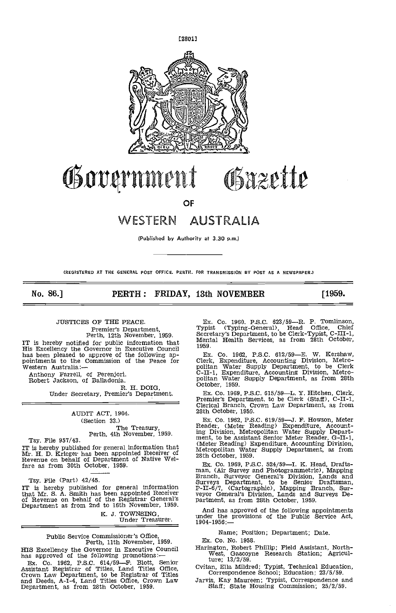

# Government Gazette

OF

# 'NESTERN AUSTRALIA

(Published by Authority at 3.30 p.m.)

(REGISTERED AT THE GENERAL POST OFFICE, PERTH, FOR TRANSMISSION BY POST AS A NEWSPAPER.)

No. 86.] **PERTH: FRIDAY, 13th NOVEMBER** [1959.

# JUSTICES OP THE PEACE. Prensier's Department, Perth, 12th November, 1958.

IT is hereby notified for public information that His Excellency the Governor in Executive Council has been pleased to approve of the following appointments to the Commission of the Peace for Western Australia:--

Anthony Farrell, of Perenjori.<br>Robert Jackson, of Balladonia.<br>R. H. DOIG,

Under Secretary, Premier's Department.

#### AUDIT ACT, 1904. (Section 33.)

The Treasury,<br>Perth, 4th November, 1959.

Tsy. File 957/43.<br>IT is hereby published for general information that IT is hereby published for general information that Mr. H. D. Krieger has been appointed Receiver of Revenue on behalf of Department of Native Wel- fare as from 30th October, 1959.

Tsy. File (Part) 42/45.<br>IT is hereby published for general information  $P-II-6$ that Mr. S. A. Smith has been appointed Receiver of Revenue on behalf of the Registrar General's part<br>Department as from 2nd to 16th November, 1959.

K. J. TOWNSING,<br>Under Treasurer.

# Public Service Commissioner's Office, Perth, 11th November, 1959.

Assistant Registrar of Titles, Land Titles Office, Crown Law Department, to be Registrar of Titlea and Deeds, A-I-4, Land Titles Office, Crown Law Department, as from 28th October, 1959.

Ex. Co. 1960, P.S.C. 623/59—R. P. Tomlinson,<br>Typist (Typing-General), Head Office, Chief Secretary's Department, to be Clerk-Typist, C-Ill-i, Mental Health Services, as from 28th October, 1959.

Ex. Co. 1962, P.S.C. 612/59—E. W. Kershaw,<br>Clerk, Expenditure, Accounting Division, Metro-<br>politan Water Supply Department, to be Clerk<br>C-II-1, Expenditure, Accounting Division, Metro-<br>politan Water Supply Department, as f

Ex. Co. 1969, P.S.C. 615/59-L. Y. Hitchen, Clerk, Premier's Department, to be Clerk (Staff), C-II-1, Clerical Branch, Crown Law Department, as from 28th October, 1959.

Ex. Co. 1962, P.S.C. 619/59--J. F. Howson, Meter Reader, (Meter Reading) Expenditure, Account-<br>ing Division, Metropolitan Water Supply Departing Division, Metropolitan Water Supply Depart-<br>ment, to be Assistant Senior Meter Reader, G-II-1,<br>(Meter Reading) Expenditure, Accounting Division,<br>Metropolitan Water Supply Department, as from<br>28th October, 1959.

Ex. Co. 1969, P.S.C. 524/59—I. K. Head, Drafts-<br>man, (Air Survey and Photogrammetric), Mapping<br>Branch, Surveyor General's Division, Lands and<br>Surveys Department, to be Senior Draftsman,<br>P-II-6/7, (Cartographic), Mapping Br

And has approved of the following appointments under the provisions of the Public Service Act, 1904-1956:—

#### Name; Position; Department; Date.

Ex. Co. No. 1958.

HIS Excellency the Governor in Executive Council Harington, Robert Phillip; Field Assistant, North-<br>has approved of the following promotions: — west, Gascoyne Research Station; Agricul-Barington, Robert Phillip; Field Assistant, North- West, Gascoyne Research Station; Agriculture; 13/2/59.

Cvitan, Ella Mildred; Typist, Technical Education, Correspondence School; Education; 23/5/59.

Jarvis, Kay Maureen; Typist, Correapondenoe and Staff; State Housing Commission; 25/2/59.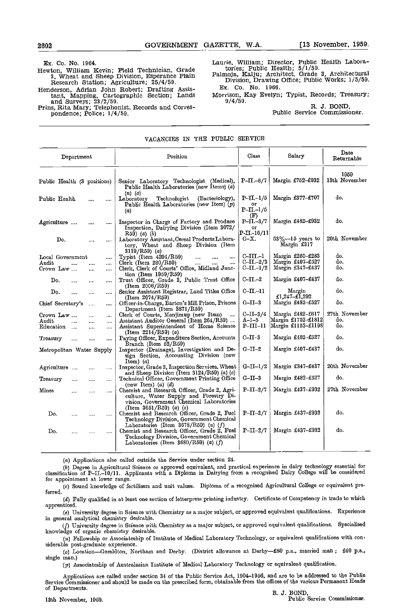Ex. Co. No. 1964.

- Hewton, William Kevin; Field Technician, Grade 3, Wheat and Sheep Division, Esperance Plain Research Station; Agricuiture; 25/4/59. Henderson, Adrian John Robert; Drafting Assis-
- tant, Mapping, Cartographic Section; Lands Morrison, F<br>and Surveys; 23/2/59.<br>Prins, Rita Mary; Telephonist, Records and Corres-<br>pondence; Police; 1/4/59.

Laurie, William; Director, Public Health Labora-

tories; Public Health; 5/1/59. Palmoja, Kalju; Architect, Grade 3, Architectural Division, Drawing Office; Public Works; 1/5/59. Ex. Co. No. 1966.

Morrison, Kay Evelyn; Typist, Records; Treasury;<br>9/4/59. R. J. BOND,

Public Service Commissioner.

#### VACANCIES 1N THE PUBLIC SERVICE

|                             | Department   |          |   | Position                                                                                                                                                        | Class                                           | Salary                              | Date<br>Returnable    |  |
|-----------------------------|--------------|----------|---|-----------------------------------------------------------------------------------------------------------------------------------------------------------------|-------------------------------------------------|-------------------------------------|-----------------------|--|
| Public Health (3 positions) |              |          |   | Senior Laboratory Technologist (Medical),<br>Public Health Laboratories (new Items) (a)                                                                         | P-II.-6/7                                       | Margin £752-£932                    | 1959<br>13th November |  |
| Public Health               |              |          |   | $(n)$ (o)<br>Technologist<br>(Bacteriology),<br>Laboratory<br>Public Health Laboratories (new Item) $(p)$<br>(a)                                                | $P-II-1/5$<br>ОГ<br>$P-II. -1/5$                | Margin £377-£707                    | do.                   |  |
| Agriculture                 |              | $\cdots$ |   | Inspector in Charge of Factory and Produce<br>Inspection, Dairying Division (Item 3072/<br>$R59)$ (a) (b)                                                       | Œ)<br>$P-II.-3/7$<br>OГ<br>$P \cdot II - 10/11$ | Margin £482-£932                    | do.                   |  |
| Do.                         |              | $\cdots$ |   | Laboratory Assistant, Cereal Products Labora-<br>tory, Wheat and Sheep Division (Item<br>$3119/R59$ (a)                                                         | G-X.                                            | $53\% - 15$ years to<br>Margin £317 | 20th November         |  |
| Local Government            |              |          |   | Typist (Item 4204/R59)<br>                                                                                                                                      | $C-III-1$                                       | Margin £260-£283                    | do.                   |  |
| Audit                       | $\cdots$     |          |   | Clerk (Item $280/R59$ )                                                                                                                                         | $C-II - 2/3$                                    | Margin £407-£527                    | do.                   |  |
| Crown Law                   |              |          | . | Clerk, Clerk of Courts' Office, Midland Junc-<br>tion (Item $1959/R59$ )                                                                                        | $C$ -II.-1/2                                    | Margin £347-£437                    | do.                   |  |
| Do.                         | $\cdots$     |          |   | Trust Officer, Grade 3, Public Trust Office<br>(Item 2006/R59)                                                                                                  | $C\text{-}II$ .-2                               | Margin £407-£437                    | do.                   |  |
| Do.                         | $\cdots$     | $\cdots$ |   | Senior Assistant Registrar, Land Titles Office<br>(Item 2074/R59)                                                                                               | $C_{\!-\!}II_{\!-\!}II$                         | Margin<br>£1,247-£1,292             | do.                   |  |
| Chief Secretary's           |              | $\cdots$ |   | Officer-in-Charge, Barton's Mill Prison, Prisons<br>Department (Item 3871/R59)                                                                                  | $G-II-3$                                        | Margin £482-£527                    | do.                   |  |
| Crown Law                   |              | .        |   | Clerk of Courts, Manjimup (new Item)<br>$\ddotsc$                                                                                                               | $C$ -II-3/4                                     | Margin £482-£617                    | 27th November         |  |
| Audit                       | $\mathbf{1}$ |          |   | Assistant Auditor General (Item 264/R59)                                                                                                                        | $A-I-5$                                         | Margin £1752-£1812                  | do.                   |  |
| Education                   |              |          |   | Assistant Superintendent of Home Science<br>(Item $2214/R59$ ) (a)                                                                                              | P-III-11                                        | Margin £1153-£1198                  | do.                   |  |
| Treasury                    |              |          |   | Paying Officer, Expenditure Section, Accounts<br>$Branch$ (Item $52/R59$ )                                                                                      | $C$ -II-3                                       | Margin £482-£527                    | do.                   |  |
| Metropolitan Water Supply   |              |          |   | Inspector (Drainage), Investigation and De-<br>sign Section, Accounting Division (new<br>Item) $(a)$                                                            | $G$ -II-2                                       | Margin £407-£437                    | do.                   |  |
| Agriculture                 |              |          | . | Inspector, Grade 3, Inspection Services, Wheat<br>and Sheep Division (Item $3124/R59$ ) (a) (c)                                                                 | $G-II-I/2$                                      | Margin £347-£437                    | 20th November         |  |
| Treasury                    |              | $\cdots$ |   | Technical Officer, Government Printing Office<br>(new Item) $(a)$ $(d)$                                                                                         | $G-II-3$                                        | Margin £482-£527                    | do.                   |  |
| Mines                       | .            |          |   | Chemist and Research Officer, Grade 2, Agri-<br>culture, Water Supply and Forestry Di-<br>vision, Government Chemical Laboratories                              | $P-II-2/7$                                      | Margin £437-£932                    | 27th November         |  |
| Do.                         |              |          | . | (Item $3651/R59$ ) (a) (e)<br>Chemist and Rescarch Officer, Grade 2, Fuel<br>Technology Division, Government Chemical<br>Laboratories (Item 3678/R59) (a) $(f)$ | $P-II-2/7$                                      | Margin £437-£932                    | do.                   |  |
| Do.                         |              |          |   | Chemist and Research Officer, Grade 2, Fuel<br>Technology Division, Government Chemical<br>Laboratories (Item 3680/R59) (a) $(f)$                               | $P-II-2/7$                                      | Margin £437-£932                    | do.                   |  |
|                             |              |          |   |                                                                                                                                                                 |                                                 |                                     |                       |  |

(a) Applications also called outside the Service under section 24.

(b) Degree in Agricultural Science or approved equivalent, and practical experience in dairy technology essential for classification of P-II.-10/11. Applicants with a Diploma in Dairying from a recognised Dairy College wi for appointment at lower range.

ferred. (a) Sound knowledge of fertilisers and unit values. Diploma of a recognised Agricultural College or equivalent pre.

Fully qualified in at least one section of letterpress printing industry. Certificate of Competency in trade to which apprenticed.

University degree in Science with Chemistry as a major subject, or approved equivalent qualifications. Experience in general analytical chemistry desirable.

University degree in Science with Chemistry as a major subject, or approved equivalent qualifications. Specialised knowledge of organic chemistry desirable.

(a) Fellowship or Associatesbip of Institute of Medical Laboratory Technology, or equivalent qualifications with considerable post-graduate experience.

(o) Location-Geraldton, Northam and Derby. (District allowance at Derby-£80 p.a., married man; £40 p.a., single man.)

(p) Associateship of Australasian Institute of Medical Laboratory Technology or equivalent qualification.

Applications are calied under section 34 of the Public Service Act, 1904-1956, and are to be addressed to the Pablo Service Commissioner and should be made on the prescribed form, obtainable from the offices of the various Permanent Heads of Departments. R. J. BOND,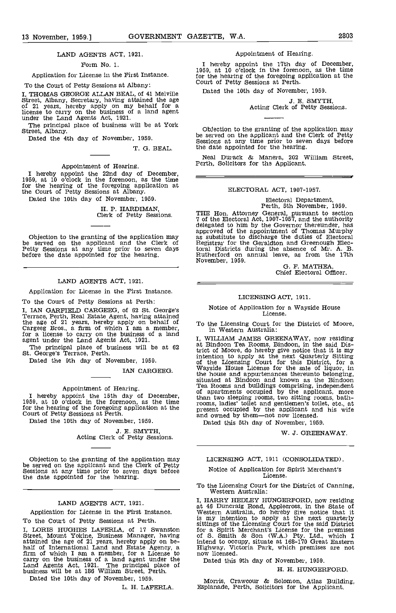#### LAND AGENTS ACT, 1921.

Form No. 1.

#### Application for License in the First Instance.

To the Court of Petty Sessions at Albany:

I, THOMAS GEORGE ALLAN BEAL, of 41 Melville <sup>Dat</sup><br>Street, Albany, Secretary, having attained the age<br>of 21 years, hereby apply on my behalf for a license to carry on the business of a land agent<br>under the Land Agents Act, 1921.<br>The principal place of business will be at York Street, Albany.

Dated the 4th day of November, 1959.

T. G. BEAL.

#### Appointment of Hearing.

I hereby appoint the 22nd day of December, 1959, at 10 o'clock in the forenoon, as the time for the hearing of the foregoing application at the Court of Petty Sessions at Albany.

Dated the 10th day of November, 1959.

# H. P. HARDIMAN, Clerk of Petty Sessions.

Objection to the granting of the application may be served on the applicant and the Clerk of Petty Sessions at any time prior to seven days before the date appointed for the hearing.

#### LAND AGENTS ACT, 1921.

Application for License in the First Instance.

To the Court of Petty Sessions at Perth:

I, IAN GARFIELD CARGEEG, of 62 St. George's Terrace, Perth, Real Estate Agent, having attained the age of 21 years, hereby apply on behalf of Cargeeg Bros., a firm of which I am a member, for a license to carry on the busi

The principal place of business will be at 62 St. George's Terrace, Perth.

Dated the 9th day of November, 1959.

IAN CARGEEG.

Appointment of Hearing. I hereby appoint the 15th day of December, of a<br>1959, at 10 o'clock in the forenoon, as the time the forenoon. for the hearing of the foregoing application at the court of Petty Sessions at Perth.

Dated the 10th day of November, 1959.

# J. E. SMYTH,<br>Acting Clerk of Petty Sessions.

Objection to the granting of the application may be served on the applicant and the Clerk of Petty Sessions at any time prior to seven days before the date appointed for the hearing.

#### LAND AGENTS ACT, 1921.

Application for License in the First Instance.

To the Court of Petty Sessions at Perth. I, LORIS HUGHES LAFERLA, of 17 Swanston Street, Mount Yokine, Business Manager, having attained the age of 21 years, hereby apply on be-<br>half of International Land and Estate Agency, a **Fighward II am a member**, for a License to now lic carry on the business of a land agent under the Land Agents Act, 1921. The principal place of Dai<br>Land Agents Act, 1921. The principal place of business will be at 186 William Street, Perth.

Dated the 10th day of November, 1959.

L. H. LAFERLA.

#### Appointment of Hearing.

I hereby appoint the 17th day of December, 1959, at 10 o'clock in the forenoon, as the time for the hearing of the foregoing application at the Court of Petty Sessions at Perth.

Dated the 10th day of November, 1959.

J. E. SMYTH,<br>Acting Clerk of Petty Sessions.

Objection to the granting of the application may be served on the applicant and the Clerk of Petty Sessions at any time prior to seven days before the date appointed for the hearing.

Neal Durack & Manera, 202 William Street, Perth, Solicitors for the Applicant.

#### ELECTORAL ACT, 1907-1957.

# Electoral Department, Perth, 5th November, 1959.

THE Hon. Attorney General, pursuant to section 7 of the Electoral Act, 1907-1957, and the authority 7 of the Electoral Act, 1907-1957, and the authority delegated to him by the Governor thereunder, has approved of the appointment of Thomas Murphy as substitute to discharge the duties of Electoral Registrar for the Geraldton and Greenough Electoral Districts during the absence of Mr. A. B.<br>Rutherford on annual leave, as from the 17th<br>November, 1959.

G. F. MATHEA, Chief Electoral Officer.

#### LICENSINGACT, 1911.

Notice of Application for a Wayside House License.

To the Licensing Court for the District of Moore, in Western Australia:

I, WILLIAM JAMES GREENAWAY, now residing at Bindoon Tea Rooms, Bindoon, in the said District of Moore. do hereby give notice that it is my intention to apply at the next Quarterly Sitting of the Licensing Court for this District, for a Wayside House License for the sale of liquor, in the house and appurtenances thereunto belonging, situated at Bindoon and known as the Bindoon Tea Rooms and buildings comprising, independent of apartments occupied by the applicant, more than two sleeping rooms, two sitting rooms, bath-rooms, ladies' toilet and gentlemen's toilet, etc., at present occupied by the applicant and his wife and owned by them—not now licensed. Dated this 5th day of November, 1959.

#### W. J. GREENAWAY.

#### LICENSING ACT, 1911 (CONSOLIDATED).

#### Notice of Application for Spirit Merchant's License.

To the Licensing Court for the District of Canning, Western Australia:

I, HARRY HEDLEY HUNGERFORD, now residing at 46 Duncraig Road, Applecross, in the State of Western Australia, do hereby give notice that it is my intention to apply at the next quarterly sittings of the Licensing Court for the said District for a Spirit Merchant's License for the premises of S. Smith & Son (WA.) Pty. Ltd., which I intend to occupy, situate at 168-170 Great Eastern Highway. Victoria Park, which premises are not now licensed. now licensed.<br>Dated this 9th day of November, 1959.

H, H. HUNGERFORD.

Morris, Crawcour & Solomon, Atlas Building, Esplanade, Perth, Solicitors for the Applicant.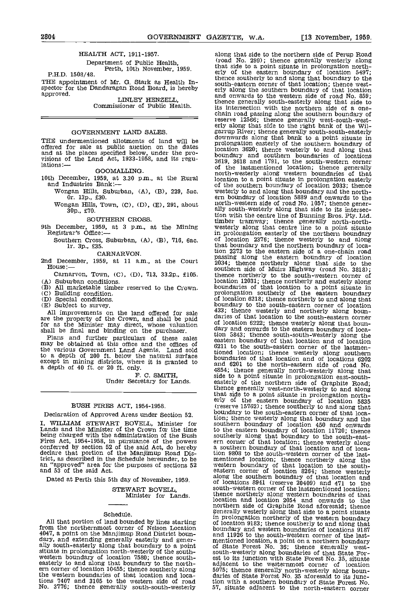#### HEALTH ACT, 1911-1957.

# Department of Public Health,<br>P.H.D. 1508/48.<br>P.H.D. 1508/48.

THE appointment of Mr. G. Stark as Health In-spector for the Dandaragan Road Board, is hereby approved. approved. LINLEY HENZELL,

Commissioner of Public Health.

#### GOVERNMENT LAND SALES

THE undermentioned allotments of land will be

GOOMALLING.

- - Wongan Hills, Suburban, (A), (B), 229, Sac. Or. iSp., £30.
	- Wongan Hills, Town,  $(C)$ ,  $(D)$ ,  $(E)$ , 291, about 30p., £70.

SOUTHERN CROSS.

Southern Cross, Suburban, (A), (B), 716, 6ac.<br>1r. 3p., £35.

CARNARVON.

2nd December, 1959, at 11 a.m., at the Court House: $-$ 

Carnarvon, Town, (C), (D), 713, 33.2p., £105. (A) Suburban conditions.

- All marketable timber reserved to the Crown.
- 
- (D) Special conditions.<br>
(E) Subject to survey.

All improvements on the land offered for sale  $\frac{433}{431}$  are the property of the Crown, and shall be paid arises for as the Minister may direct, whose valuation of local

shall be final and binding on the purchaser. The plans and further particulars of these sales tionary be obtained at this office and the offices of  $\frac{2}{9}$ the various Government Land Agents. Land sold<br>to a depth of 200 ft. below the natural surface bound: except in mining districts, where it is granted to and 6 and a depth of 40 ft. or 20 ft. only.

F. C. SMITH, Under Secretary for Lands.

#### BUSH FIRES ACT, 1954-1958.

Declaration of Approved Areas under Section 52.

I, WILLIAM STEWART BOVELL, Minister for Lands and the Minister of the Crown for the time being charged with the administration of the Bush Fires Act, 1954-1958, in pursuance of the powers conferred by section 52 of the said Act, do hereby a southern boundary of that location and of loca-<br>declare that portion of the Manjimup Road Dis-<br>tion 9808 to the south-we trict, as described in the Schedule hereunder, to be an "approved" area for the purposes of sections 52 wester<br>and 53 of the said Act. easter

Dated at Perth this 5th day of November, 1959.

STEWART BOVELL, Minister for Lands.

#### Schedule.

All that portion of land bounded by lines starting from the northernmost corner of Nelson Location<br>4047, a point on the Manjimup Road District boun-4047, a point on the Manjimup Road District boun-<br>dary, and extending generally easterly and gener-<br>dary, and extending generally easterly and gener-<br>ally south-easterly along that boundary to a point of St<br>struate in pro the western boundaries of that location and loca-<br>tions 7407 and 3105 to the western side of road tion wi No. 3776; thence generally south-south-westerly

offered for sale at public auction on the dates<br>and at the places specified below, under the pro-<br>visions of the Land Act, 1933-1958, and its regu-<br>lations:-<br>COOMATING and ISS regu-<br>of the last mentioned location; thence g 10th December, 1959, at 3.30 p.m., at the Rural location to a point situate in prolongation easterly<br>and Industries Bank:—<br>Wongan Hills, Suburban, (A), (B), 229, 5ac. westerly to and along that boundary and the north-9th December, 1959, at 3 p.m., at the Mining westerly along that centre line to a point situate<br>Registrar's Office:—<br>in prolongation easterly of the northern boundary along that side to the northern side of Perup Road (road No. 299); thence generally westerly along that side to a point situate in prolongation north-<br>erly of the eastern boundary of location 5497;<br>thence southerly to and along that boundary to the<br>south-eastern corner of that location; thence west-<br>erly along the south and onwards to the western side of road No. 859; thence generally south-easterly along that side to its intersection with the northern side of a onereserve 12566; thence generally west-south-west-<br>erly along that side to the right bank of the Will-<br>garrup River; thence generally south-south-easterly<br>downwards along that bank to a point situate in prolongation easterly of the southern boundary of Location 3620; thence westerly to and along that boundary and southern boundaries of locations 3619, 3618 and 1791, to the south-western corner north-westerly along western boundaries of that location to a point situate in prolongation easterly of the southern boundary of location 2033; thence<br>westerly to and along that boundary and the north-<br>ern boundary of location 5889 and onwards to the<br>north-western side of road No. 1057; thence gener-<br>ally south-westerly a tion with the centre line of Bunning Bros. Pty. Ltd. timber tramway; thence generally north-north- westerly along that centre line to a point situate of location 2376; thence westerly to and along that boundary and the northern boundary of location 2373 to the eastern side of a one-chain road passing along the eastern boundary of location 2034; thence northerly along that side to the<br>southern side of Muirs Highway (road No. 3818); southern side of Muirs Highway (road No. 3818); thence northerly to the south-western corner of location 12031; thence northerly and easterly along boundaries of that location to a point situate in prolongation southerly of the eastern boundary of location 6218; thence northerly to and along that boundary to the south-eastern corner of location boundary to the south-eastern corner of location 433; thence westerly and northerly along boun-<br>daries of that location to the south-eastern corner of location 6222; thence westerly along that boun- dary and onwards to the eastern boundary of location 5843; thence south-south-westerly along the eastern, boundary of that location and of location 6211 to the south-eastern corner of the lastmentioned location; thence westerly along southern boundaries of that location and of locations 6202 and 6201 to the north-eastern side of road No. 4854; thence generally north-westerly along that side to a point situate in prolongation east-south- easterly of the northern side of Graphite Road; thence generally west-north-westerly to and along that side to a point situate in prolongation north- erly of the eastern boundary of location <sup>5835</sup> erly of the eastern boundary of location 5835<br>(reserve 15762); thence southerly to and along that boundary to the south-eastern corner of that location; thence westerly along that boundary and the southern boundary of location 450 and onwards to the eastern boundary of location 11720; thence southerly along that boundary to the south-east-<br>ern corner of that location; thence westerly along a southern boundary of that location and of loca- tion 9808 to the south-western corner of the lastmentioned location; thence northerly along the western boundary of that location to the south-eastern corner of location 8264; thence westerly along the southern boundary of that location and of locations 8941 (reserve 20409) and 471 to the<br>south-western corner of the lastmentioned location;<br>thence northerly along western boundaries of that<br>location and location 2054 and onwards to the<br>northern side of Graphite in prolongation northerly of the western boundary of location 9183; thence southerly to and along that boundary and western boundaries of locations 9187 and 11926 to the south-western corner of the lastmentioned location, a point on a northern boundary of State Forest No. 36; thence generally westsouth-westerly along boundaries of that State For- est to its junction with State Forest No. 35, situate adjacent to the westernmost corner of location 5975; thence generally north-westerly along boun- daries of State Forest No. 35 aforesaid to its junction with a southern boundary of State Forest No. 57, situate adjacent to the north-eastern corner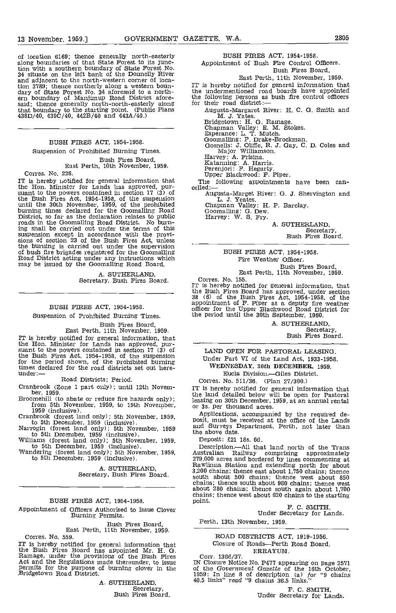of location 6169; thence generally north-easterly along boundaries of that State Forest to its junction with a southern boundary of State Forest No.<br>34 situate on the left bank of the Donnelly River<br>and adjacent to the north-western corner of location 3789; thence northerly along a western boun-<br>dary of State Forest No. 34 aforesaid to a north-<br>ern boundary of Manjimup Road District afore-<br>said; thence generally north-north-easterly along for their road district: that boundary to thc starting point. (Public Plans 438D/40, 439C/40, 442B/40 and 443A/40.)

## BUSH FIRES ACT, 1954-1958.

### Suspension of Prohibited Burning Times.

Bush Fires Board,<br>East Perth, 10th November, 1959.

Corres. No. 226.

IT is hereby notified for general information that<br>the Hon. Minister for Lands has approved, pur- suant to the powers contained in section 17 (3) of the Bush Fires Act, 1954-1958, of the suspension until the 30th November, 1959, of the prohibited burning times declared for the Goomalling Road G<br>District, so far as the declaration relates to public H roads in the Goomalling Road District. No burn-<br>ing shall be carried out under the terms of this suspension except in accordance with the provi-<br>sions of section 23 of the Bush Fires Act, unless the burning is carried out under the supervision of bush fire brigades registered for the Goomalling Road District acting under any instructions which may be issued by the Goomalling Road Board,

A. SUTHERLAND,<br>Secretary, Bush Fires Board.

#### BUSH FIRES ACT, 1954-1958.

Suspension of Prohibited Burning Times.

Bush Fires Board,<br>East Perth, 11th November, 1959.<br>IT is hereby notified for general information, that IT is hereby notified for general information, that<br>the Hon. Minister for Lands has approved, pur-<br>suant to the powers contained in section 17 (3) of<br>the Bush Fires Act, 1954-1958, of the suspension<br>for the period shown, times declared for the road districts set out here-<br>under:-

#### Road Districts; Period.

Cranbrook (Zone 1 part only); until 12th Novem-<br>
for 1959.<br>
Broomehill (to abate or reduce fire hazards only);<br>
from 5th November, 1959, to 19th November,<br>
1959 (inclusive).<br>
1959 (inclusive).<br>
Cranbrook (forest land only

to 5th December, 1959 (inclusive).<br>Williams (forest land only); 5th November, 1959, to 5th December, 1959 (inclusive).<br>Wandering (forest land only); 5th November, 1959, to 5th December, 1959 (inclusive).

A. SUTHERLAND, Secretary, Bush Fires Board.

#### BUSH FIRES ACT, 1954-1958.

Appointment of Officers Authorised to Issue Clover Burning Pennits.

Bush Fires Board, East Perth, 11th November, 1959.

Corres. No. 559.

Correct II is hereby notified for general information that<br>the Bush Fires Board has appointed Mr. H. G.<br>Ramage, under the provisions of the Bush Fires<br>Act and the Regulations made thereunder, to issue<br>permits for the purpo

A. SUTHERLAND,<br>Secretary,<br>Bush Fires Board.

#### BUSH FIRES ACT, 1954-1958.

Appointment of Bush Fire Control Officers. Bush Fires Board,

#### East Perth, 11th November, 1959.

IT is hereby notified for general information that the undermentioned road boards have appointed the following persons as bush fire control officers for their road district:-

- Augusta-Margaret River: H. C. G. Smith and M. J. Yates.
	-
	-
	-
	- m. J. Rauss.<br>Bridgetown: H. G. Ramage.<br>Chapman Valley: E. M. Stokes.<br>Esperance: L. T. Mutch.<br>Goomalling: P. Drake-Brockman.<br>Gosnells: J. Oliffe, R. J. Gay, C. D. Coles and<br>Major Williamson.<br>Harvey: A. Frisina.<br>Katanning: A
	-

The following appointments have been can-<br>celled:—<br>Augusta-Marget River: G. J. Shervington and

Augusta-Marget River: 0. 3. Shervington and L. 3. Yeates.

Chapman Valley: H. P. Barclay. Goomalling: G. Dew. Harvey: W. S. Fry.

A. SUTHERLAND,<br>Secretary Bush Fires Board.

BUSH FIRES ACT, 1954-1958. Fire Weather Officer. Bush Fires Board, East Perth, 11th November, 1959.

Corres. No. 155.

IT is hereby notified for general information, that the Bush Fires Board has approved, under section 38 (6) of the Bush Fires Act, 1954-1958, of the appointment of F. Piper as a deputy fire weather officer for the Upper Blackwood Road District for the period until the 30th September, 1960.

> A. SUTHERLAND,<br>Secretary, Bush Fires Board.

LAND OPEN FOR PASTORAL LEASING Under Part VI of the Land Act, 1933-1958. WEDNESDAY, 30th DECEMBER, 1959. Eucla Division.-Giles District.

Corres. No. 511/36. (Plan 27/300.)<br>IT is hereby notified for general information that IT is hereby notified for general information that the land detailed below will be open for Pastoral leasing on 30th December, 1959, at an annual rental or 3s. per thousand acres.

Applications, accompanied by the required de-<br>posit, must be received at the office of the Lands<br>and Surveys Department, Perth, not later than the above date.

Deposit: £21 18s. 6d.<br>Description.—All that land north of the Trans Description.—All that land north of the Trans<br>Australian Railway comprising approximately<br>279,000 acres and bordered by lines commencing at<br>Rawlinua Station and extending north for about<br>3,200 chains; thence east about 1,7 south about 500 chains; thence west about 850 chains; thence south about 980 chains; thence vest about 280 chains; thence south again about 1,700 chains; thence west about 620 chains to the starting<br>point.

F. C. SMITH,<br>Under Secretary for Lands.

Perth, 13th November, 1959.

ROAD DISTRICTS ACT, 1919-1956. Closure of Roads-Perth Road Board. ERRATUM.

Corr. 1386/37.

IN Closure Notice No. P477 appearing on page 2571 of the Government Gazette of the 16th October, 1959: In line 8 of description (a) for "9 chains 40.5 links" read "9 chains 36.5 links."

F. C. SMITH, Under Secretary for Lands.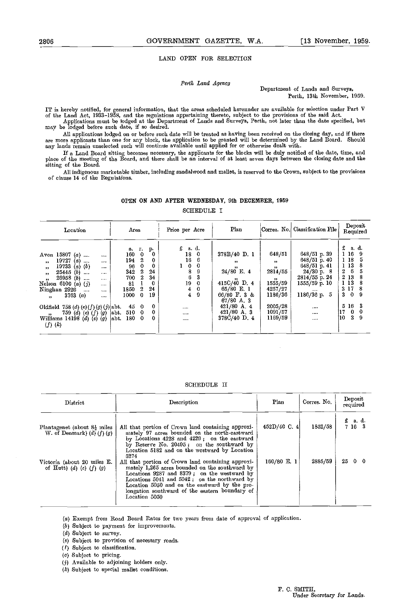#### LAND OPEN FOR SELECTION

Perth Land Agency Department of Lands and Surveys, Perth, 13th November, 1959.

IT is hereby notified, for general information, that the areas scheduled hereunder are available for selection under Part V<br>of the Land Act, 1933–1958, and the regulations appertaining thereto, subject to the provisions of

All applications lodged on or before such date will be treated as having been received on the closing day, and if there<br>are more applicants than one for any block, the application to be granted will be determined by the La

If a Land Board sitting becomes necessary, the applicants for the blocks will be duly notified of the date, time, and<br>place of the meeting of the Board, and there shall be an interval of at least seven days between the clo sitting of the Board.

All indigonous marketable timber, including sandalwood and mallet, is reserved to the Crown, subject to the provisions of c]ause 14 of the Regulations.

#### OPEN ON AND AFTER WEDNESDAY, 9th DECEMBER, 1959

SCHEDULE I

#### SCHEDULE II

| District                                                                    | Description                                                                                                                                                                                                                                                                                                                          | Plan        | Corres. No. | Deposit<br>required                                                                                  |  |  |
|-----------------------------------------------------------------------------|--------------------------------------------------------------------------------------------------------------------------------------------------------------------------------------------------------------------------------------------------------------------------------------------------------------------------------------|-------------|-------------|------------------------------------------------------------------------------------------------------|--|--|
| Plantagenet (about $8\frac{1}{2}$ miles<br>W. of Denmark) $(d)$ $(f)$ $(g)$ | All that portion of Crown land containing approxi-<br>mately 97 acres bounded on the north-eastward<br>by Locations $4228$ and $4229$ ; on the eastward<br>by Reserve No. 20495; on the sonthward by<br>Location 5182 and on the westward by Location                                                                                | 452D/40C.4  | 1852/58     | $\begin{array}{cc} \texttt{£} & \texttt{s. d.} \\ \texttt{7} & \texttt{16} & \texttt{3} \end{array}$ |  |  |
| Victoria (about 20 miles E.<br>of Hutt) (d) (e) $(f)(g)$                    | 5274<br>All that portion of Crown land containing approxi-<br>mately 1,265 acres bounded on the southward by<br>Locations 9287 and 8379; on the westward by<br>Locations $5041$ and $5042$ ; on the northward by<br>Location 5050 and on the eastward by the pro-<br>longation southward of the eastern boundary of<br>Location 5050 | 160/80 E. 1 | 2885/59     | 2500                                                                                                 |  |  |

(a) Exempt from Road Board Rates for two years from date of approval of application.

- (&) Subject to payment for improvements.
- $(d)$  Subject to survey.
- (e) Subject to provision of necessary roads.
- (F) Subject to classification.
- (q) Subject to pricing.
- Available to adjoining holders only.
- $(k)$  Subject to special mallet conditions.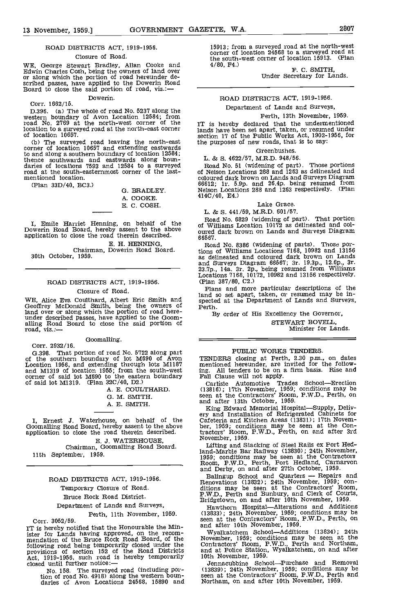#### ROAD DISTRICTS ACT, 1919-1956.

#### Closure of Road.

WE, George Stewart Bradley, Allan Cooke and Edwin Charles Cosh, being the owners of land over or along which the portion of road hereunder de-<br>scribed passes, have applied to the Dowerin Road<br>Board to close the said portio Dowerin.

#### Corr. 1662/15.

D.396. (a) The whole of road No. 5237 along the **DEL** western boundary of Avon Location 12584; from road No. 2769 at the north-west corner of the T<sub>T is</sub> location to a surveyed road at the north-east corner and label of location 10657.

of location 10657.<br>(b) The surveyed road leaving the north-east<br>corner of location 10657 and extending eastwards<br>to and along a southern boundary of location 12584; to and along a southern boundary of location 12584;<br>thence southwards and eastwards along boun-<br>daries of locations 7593 and 12584 to a surveyed Road<br>road at the south-easternmost corner of the last-<br>of Nel: mentioned location.

(Plan  $33D/40$ , BC3.) G. BRADLEY.

A. COOKE. E. C. COSH.

I, Emile Harriet Henning, on behalf of the dividend Dowerin Road Board, hereby assent to the above oursel application to close the road therein described.

E. H. HENNING,<br>30th October, 1959.<br>30th October, 1959.

#### ROAD DISTRICTS ACT, 1919-1956. Closure of Road.

WE, Alice Eva Coulthard, Albert Eric Smith and Geocter<br>Geoffrey McDonald Smith, being the owners of Perth. land over or along which the portion of road here-<br>under described passes, have applied to the Goom-<br>alling Road Board to close the said portion of<br>road, viz.:---

Goomalling.

Corr. 2932/16. 0.398. That portion of road No. 5722 along part of the southern boundary of lot M690 of Avon Location 1956, and extending through lots M1187

and M1319 of location 1955; from the south-west ing. A corner of said lot M690 to the eastern boundary Fall C of said lot M1319. (Plan 320/40, D2.)

A. E. COULTHARD.

- 0. M. SMITH.
- A. E. SMiTH.

I, Ernest J. Waterhouse, on behalf of the Cafete Goomalling Road Board, hereby assent to the above application to close the road therein described.

B. J. WATERHOUSE, Chairman, 000malling Road Board. 11th September, 1959.

#### ROAD DISTRICTS ACT, 1919-1956.

Temporary Closure of Road.

Bruce Rock Road District.

#### Department of Lands and Surveys,

#### Perth, 11th November, 1959.

Corr. 3052/59. IT is hereby notified that the Honourable the Minister for Lands having approved, on the recom- mendation of the Bruce Rock Road Board, of the following road being temporarily closed under the Contractions of section 152 of the Road Districts and at Act, 1919-1956, such road is hereby temporarily 10th P closed until further notice:-

No. 158. The surveyed road (including portion of road No. 4918) along the western boun- daries of Avon Locations 24568, 15890 and

15913; from a surveyed road at the north-west corner of location 24568 to a surveyed road at the south-west corner of location 15913. (Plan 4/80, F4.)

F. C. SMITH,<br>Under Secretary for Lands.

#### ROAD DISTRICTS ACT, 1919-1956. Department of Lands and Surveys,

### Perth, 13th November, 1959.

IT is hereby declared that the undermentioned lands have been set apart, taken, or resumed under section 17 of the Public Works Act, 1902-1956, for the purposes of new roads, that is to say:

#### **Greenbushes**

#### L. & S. 4622/57, M.R.D. 948/56.

Road No. 51 (widening of part). Those portions of Nelson Locations 288 and 1263 as delineated and coloured dark brown on Lands and Surveys Diagram 66612; 1r. 5.9p. and 26.4p. being resumed from Nelson Locations 288 and 1263 respectively. (Plan 414C/40, E4.)

#### Lake Grace.

L. & S. 441/59, M.R.D. 601/57. Road No. 6829 (widening of part). That portion of Williams Location 10172 as delineated and coloured dark brown on Lands and Surveys Diagram 66567.

Road No. 8386 (widening of parts). Those portions of Williams Locations 7168, 10982 and 13156 as delineated and coloured dark brown on Lands and Surveys Diagram 66567; 3r. 19.3p., 12.6p., 3r. 23.7p., 14a. 3r. 2p., being resumed from Williams Locations '1168, 10172, 10982 and 13156 respectively.

(Plan 387/80, C2.)<br>Plans and more particular descriptions of the Plans and more particular descriptions of the land so set apart, taken, or resumed may be inspected at the Department of Lands and Surveys, Perth.

By order of His Excellency the Governor,

STEWART BOVELL. Minister for Lands

#### PUBLIC WORKS TENDERS.

TENDERS closing at Perth, 2.30 p.m., on dates mentioned hereunder, are invited for the following. All tenders to be on a firm basis. Rise and Fall Clause will not apply.

Carlisle Automotive Trades School-Erection (13816); 17th November, 1959; conditions may be seen at the Contractors' Room, P.W.D,, Perth, on and after 13th October, 1959.<br>King Edward Memorial Hospital—Supply, Deliv-

King Edward Memorial Hospital—Supply, Delivery and Installation of Refrigerated Cabinets for<br>Cafeteria and Kitchen Areas (13831); 17th Novem-<br>ber, 1959; conditions may be seen at the Con-<br>tractors' Room, P.W.D., Perth, on November, 1959.

Lifting and Stacking of Steel Rails ex Port Hedland-Marble Bar Railway (13830); 24th November, 1959; conditions may be seen at the Contracton Room, P.W.D., Perth, Port Hedland, Carnarvon

Ealingup School and Quarters — Repairs and<br>Renovations (13832); 24th November, 1959; con-<br>ditions may be seen at the Contractors' Room,<br>P.W.D., Ferth and Bunbury, and Clerk of Courts,<br>Bridgetown, on and after 10th November

(13833); 24th November, 1959; conditions may be seen at the Contractors' Room, P.W,D., Perth, on and after 10th November, 1959.

Wyalkatchem School-Additions (13834); 24th November, 1959; conditions may be seen at the Contractors' Room, P.W.D., Perth and Northam, and at Police Station, Wyalkatchem, on and after 10th November, 1959.

Jennacubbine School-Purchase and Removal (13839); 24th November, 1959; conditions may be seen at the Contractors' Room, P.W.D., Perth and Northam, on and after 10th November, 1959.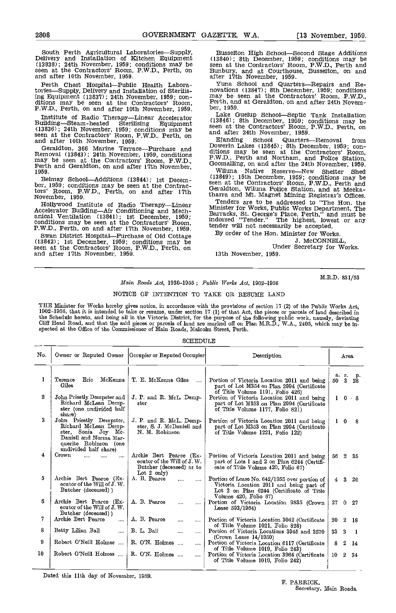South Perth Agricultural Laboratories—Supply, Bulivery and Installation of Kitchen Equipment (13830); 24th November, 1959; conditions may be seen seen at the Contractors' Room, P.W.D., Perth, on Bunbu and after 10th November, 1959.

Perth Chest Hospital—Public Health Labora-<br>tories—Supply, Delivery and Installation of Sterilising Equipment (13837); 24th November, 1959; con-<br>ditions may be seen at the Contractors' Room, P.W.D., Perth, on and after 10th November, 1959.

Institute of Radio Therapy—Linear Accelerator (13846); 8th Building—Steam-heated Sterilising Equipment (13836); 24th November, 1959; conditions may be seen at the Contractors' Room, P.W.D., Perth, on Finanding and after 10th November, 1959.

Geraldton, 366 Marine Terrace—Purchase and Removal (13843); 24th November, 1959, conditions may be seen at the Contractors' Room, P.W.D., Perth and Geraldton, on and after 17th November, Wilu

Belmay School—Additions (13844); 1st Decem-<br>ber, 1959; conditions may be seen at the Contrac-<br>tors' Room, P.W.D., Perth, on and after 17th<br>November, 1959.<br>Hollywood Institute of Radio Therapy—Linear<br>Accelerator Building—Ai

anical Ventilation (13841); Ist December, 1959;<br>conditions may be seen at the Contractors' Room,<br>P.W.D., Perth, on and after 17th November, 1959.

Swan District Hospital—Purchase of Old Cottage (13842); 1st December, 1959; conditions may be seen at the Contractors' Room, P.W.D., Perth, on and after 17th November, 1959.

Busselton High School-Second Stage Additions (13840); 8th December, 1959; conditions may be seen at the Contractors' Room, P.W.D., Perth and Bunbury, and at Courthouse, Busselton, on and

after 17th November, 1959. Yuna School and Quarters—Repairs and Re-<br>novations (13847); 8th December, 1959; conditions<br>may be seen at the Contractors' Room, P.W.D.,<br>Perth, and at Geraldton, on and after 24th Novem-<br>ber, 195

Lake Guelup School—Septic Tank Installation (13846); 8th December, 1959; conditions may be seen at the Contractors' Room, P.W.D., Perth, on and after 24th November, 1959.

Ejanding School Quarters—Removal from Dowerin Lakes (13845); 8th December, 1959; con-<br>ditions may be seen at the Contractors' Room,<br>P.W.D., Perth and Northam, and Police Station,<br>Goomalling, on and after the 24th November, 1959.

Wiluna Native Reserve—New Shelter Shed<br>(13849); 15th December, 1959; conditions may be seen at the Contractors' Room, P.W.D., Perth and Geraldton, Wiluna Police Station, and at Meeka-

tharra and Mt. Magnet Mining Registrar's Offices. Tenders are to be addressed to "The Hon. the Minister for Works, Public Works Department, The Barracks, St. George's Place, Perth," and must be indorsed "Tender." The highest, lowest or any tender will not necessarily be accepted.

By order of the Hon. Minister for Works.<br>J. MCCONNELL Under Secretary for Works.

13th November, 1959.

M.R.D. 831/53

#### $Main$  Roads Act, 1930-1955 : Public Works Act, 1902-1956

#### NOTICE OF INTENTION TO TAKE OR RESUME LAND

THE Minister for Works hereby gives notice, in accordance with the provisions of section 17 (2) of the Public Works Act,<br>1902–1956, that it is intended to take or resume, under section 17 (1) of that Act, the pieces or par the Schedule hereto, and being all in the Victoria District, for the purpose of the following public work, namely, deviating<br>Cliff Head Road, and that the said pieces or parcels of land are marked off on Plan M.R.D., W.A.,

#### SCHEDULE

| No. |                                                                                                                                                    | Owner or Reputed Owner   Occupier or Reputed Occupier <br>Description                                      |                                                                                                                                                                | Area                       |
|-----|----------------------------------------------------------------------------------------------------------------------------------------------------|------------------------------------------------------------------------------------------------------------|----------------------------------------------------------------------------------------------------------------------------------------------------------------|----------------------------|
| 1   | Епс<br>McKenna<br>Terence<br>Giles                                                                                                                 | T. E. McKenna Giles<br>$\sim$                                                                              | Portion of Victoria Location 2011 and being<br>part of Lot M354 on Plan 2994 (Certificate<br>of Title Volume 1191, Folio 426)                                  | а г.<br>- p.<br>50 3<br>28 |
| 2   | John Priestly Dempster and<br>Richard McLean Demp-<br>ster (one undivided half<br>share)                                                           | J. P. and R. McL. Demp-<br>ster                                                                            | Portion of Victoria Location 2011 and being<br>part of Lot M353 on Plan 2994 (Certificate<br>of Title Volume 1177, Folio 821)                                  | $1 \quad 0 \quad 8$        |
| 3   | John Priestly Dempster,<br>Richard McLean Demp-<br>ster, Sonia Joy Mc.<br>Daniell and Norma Mar-<br>querite Robinson (one<br>undivided half share) | J. P. and R. McL. Demp-<br>ster, S. J. McDaniell and<br>N. M. Robinson                                     | Portion of Victoria Location 2011 and being<br>part of Lot M353 on Plan 2994 (Certificate<br>of Title Volume 1221, Folio 122)                                  | $1\quad 0$<br>- 8          |
| 4   | Crown                                                                                                                                              | Archie Bert Pearce (Ex-<br>ecutor of the Will of J. W.<br>Butcher (deceased) as to<br>Lot $2 \text{ only}$ | Portion of Victoria Location 2011 and being<br>part of Lots 1 and 2 on Plan 6244 (Certifi-<br>cate of Title Volume 420, Folio 67)                              | 56<br>$\overline{2}$<br>35 |
| 5   | Archie Bert Pearce (Ex-<br>ecutor of the Will of J. W.<br>Butcher (deceased) )                                                                     | A. B. Pearce<br>                                                                                           | Portion of Lease No. 642/1955 over portion of<br>Victoria Location 2011 and being part of<br>Lot 2 on Plan 6244 (Certificate of Title<br>Volume 420, Folio 67) | $\mathbf{3}$<br>4<br>26    |
| 6   | Archie Bert Pearce (Ex-<br>ecutor of the Will of J. W.<br>Butcher (deceased))                                                                      | A. B. Pearce<br>$\cdots$<br>$\cdots$                                                                       | Portion of Victoria Location 9835 (Crown<br>Lease 593/1954)                                                                                                    | 27<br>$0 -$<br>- 27        |
| 7   | Archie Bert Pearce<br>$\cdots$                                                                                                                     | A. B. Pearce<br>$\cdots$<br>$\cdots$                                                                       | Portion of Victoria Location 3042 (Certificate                                                                                                                 | 20<br>$\mathbf 2$<br>-18   |
| 8   | Betty Lilian Ball<br>$\cdots$                                                                                                                      | B. L. Ball<br>$\cdots$<br>                                                                                 | of Title Volume 1021, Folio 828)<br>Portion of Victoria Locations 3945 and 3570                                                                                | 33<br>3<br>- 1             |
| 9   | Robert O'Neill Holmes                                                                                                                              | R. O'N. Holmes                                                                                             | (Crown Lease 14/1950)<br>Portion of Victoria Location 6117 (Certificate                                                                                        | 2<br>8<br>14               |
| 10  | Robert O'Neill Holmes                                                                                                                              | R. O'N. Holmes                                                                                             | of Title Volume 1019, Folio 243)<br>Portion of Victoria Location 3964 (Certificate<br>of Title Volume 1019, Folio 242)                                         | 10<br>-2.<br>-34           |

Dated this 11th day of November, 1959.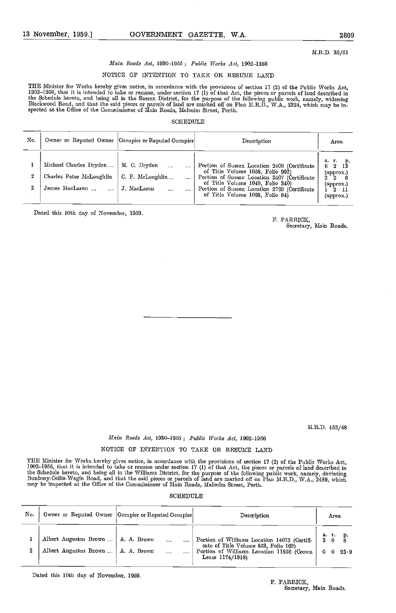M.R.D. 35/51

#### Main Roads Act, 1930-1955; Public Works Act, 1902-1956

#### NOTICE OF INTENTION TO TAKE OR RESUME LAND

THE Minister for Works hereby gives notice, in accordance with the provisions of section 17 (2) of the Public Works Act,<br>1902–1956, that it is intended to take or resume, under section 17 (1) of that Act, the pieces or par the Schedule hereto, and being all in the Sussex District, for the purpose of the following public work, namely, widening<br>Blackwood Road, and that the said pieces or parcels of land are marked off on Plan M.R.D., W.A., 232

#### SCHEDULE

| No. |                                                                      | Owner or Reputed Owner   Occupier or Reputed Occupier   | Description                                                                                                                                                                                                                                             | Area                                                                                 |
|-----|----------------------------------------------------------------------|---------------------------------------------------------|---------------------------------------------------------------------------------------------------------------------------------------------------------------------------------------------------------------------------------------------------------|--------------------------------------------------------------------------------------|
| 2   | Michael Charles Dryden<br>Charles Peter McLoughlin<br>James MacLaren | M. C. Dryden<br>C. P. McLoughlin<br>J. MacLaren<br><br> | Portion of Sussex Location 2409 (Certificate<br>of Title Volume 1058, Folio 992)<br>Portion of Sussex Location 2407 (Certificate<br>of Title Volume 1049, Folio 340)<br>Portion of Sussex Location 2769 (Certificate<br>of Title Volume 1088, Folio 84) | a.r.p.<br>0 2 13<br>(approx)<br>$\mathcal{D}$<br>$($ approx $)$<br>2 11<br>(approx.) |

Dated this 10th day of November, 1059.

F. PARRIOK, Secretary, Main Roads.

M.R.D.  $452/48$ 

#### Main Roads Act, 1930-1955; Public Works Act, 1902-1956

#### NOTICE OF INTENTION TO TAKE OR RESUME LAND

THE Minister for Works hereby gives notice, in accordance with the provisions of section 17 (2) of the Public Works Act,<br>1902–1956, that it is intended to take or resume under section 17 (1) of that Act, the pieces or parc the Schedule hereto, and being all in the Williams District, for the purpose of the following public work, namely, deviating<br>Bunbury-Collie-Wagin Road, and that the said pieces or parcels of land are marked off on Plan M.R

#### SCHEDULE

| No. |                                                                              | Owner or Reputed Owner  Occupier or Reputed Occupier | Description                                                                                                                                            | Area                              |
|-----|------------------------------------------------------------------------------|------------------------------------------------------|--------------------------------------------------------------------------------------------------------------------------------------------------------|-----------------------------------|
| 2   | Albert Augustus Brown    A. A. Brown<br>Albert Augustus Brown    A. A. Brown | $\cdots$<br>$\ddotsc$                                | Portion of Williams Location 14075 (Certifi-<br>cate of Title Volume 853, Folio 162)<br>Portion of Williams Location 11856 (Crown<br>Lease $1174/1918$ | ar.<br>30<br>$23-9$<br>$0\quad 0$ |

Dated this 10th day of November, 1959.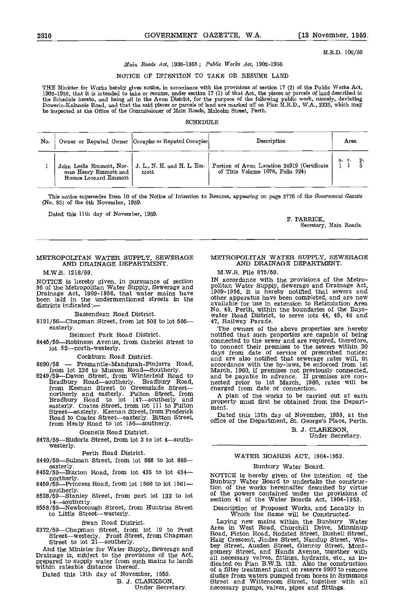M.R.D. 106/50

#### Main Roads Act, 1930-1955; Public Works Act, 1902-1956

#### NOTICE OF INTENTION TO TAKE OR RESUME LAND

THE Minister for Works hereby gives notice, in accordance with the provisions of section 17 (2) of the Public Works Act,<br>1902–1956, that it is intended to take or resume, under section 17 (1) of that Act, the pieces or par the Schedule hereto, and being all in the Avon District, for the purpose of the following public work, namely, deviating<br>Dowerin-Kalannie Road, and that the said pieces or parcels of land are marked off on Plan M.R.D., W.A be inspected at the Office of the Commissioner of Main Roads, Malcolm Street, Perth.

#### **SCHEDULE**

| No. |                                               | Owner or Reputed Owner  Occupier or Reputed Occupier                           | Description                                                                     | Агеа |  |
|-----|-----------------------------------------------|--------------------------------------------------------------------------------|---------------------------------------------------------------------------------|------|--|
|     | man Henry Emmott and<br>Horace Leonard Emmott | John Leslie Emmott, Nor-   J. L., N. H. and H. L. Em-<br>$\operatorname{mott}$ | Portion of Avon Location 24919 (Certificate<br>of Title Volume 1078, Folio 224) | а г. |  |

This notice supersedes Item 10 of the Notice of Intention to Resume, appearing on page 2770 of the Government Gazette (No. 85) of the  $6th$  November, 1959.

Dated this 11th day of November, 1959.<br>
F. PARRICK,

Secretary, Main Roads.

#### METROPOLITAN WATER SUPPLY, SEWERAGE AND DRAINAGE DEPARTMENT.

M.W.S. 1218/59.

NOTICE is hereby given, in pursuance of section  $N_{\text{rel}}$  ac 96 of the Metropolitan Water Supply, Sewerage and polita<br>Drainage Act, 1909-1956, that water mains have been laid in the undermentioned streets in the other districts indicated:-

Bassendean Road District.

 $8121/56$ -Chapman Street, from lot 506 to lot 505easterly.

Belmont Park Road District.

lot 52-north-westerly.

Coekburn Road District.

northerly and easterly. Fulton Street, from a plan of<br>Bradbury Road to lot 147—southerly and property mus easterly. Coates Street, from lot 111 to Fulton Street—easterly. Keenan Street, from Frederick Road to Coates Street—easterly. Bitton Street, Dat from Healy Road to lot 156—southerly. office

#### Gosnells Road District.

 $8478/59$ -Eudoria Street, from lot 3 to lot 4-south-westerly.

Perth Road District.

- 8449/59-Sulman Street, from lot 868 to lot 865-easterly.
- $8452/59$ -Buxton Road, from lot 435 to lot 434--<br>northerly.
- 8459/59—Princess Road, from lot 1560 to lot 1561—<br>southerly.
- $8528/59$ -Stanley Street, from part lot 133 to lot  $14$ -southerly.<br>8558/59-Newborough Street, from Huntriss Street<br>to Little Street-westerly.
- 

Swan Road District.<br>8372/59—Chapman Street, from lot 19 to Frost

Drainage is, subject to the provisions of the Act, prepared to supply water from such mains to lands within rateable distance thereof.

Dated this 13th day of November, 1959.

B. J. CLARKSON, Under Secretary.

#### METROPOLITAN WATER SUPPLY, SEWERAGE AND DRAINAGE DEPARTMENT.

M.W.S. File 875/59.

IN accordance with the provisions of the Metro- politan Water Supply, Sewerage and Drainage Act, 1909-1956, It is hereby notified that sewers and other apparatus have been completed, and are now available for use in extension to Reticulation Area No. 48, Perth, within the boundaries of the Bays- water Road District, to serve lots 44, 45, 46 and 47, Railway Parade.

8445/59—Robinson Avenue, from Gabriel Street to connected to the sewer and are required, therefore, 8690/58 - Fremantle-Mandurah-Pinjarra Road, accordance with the by-laws, be entrom lot 236 to Musson Road-Southerly. March, 1960, if premises not previous Roadsoutherly. Bradbury Road to Bradbury Road, hected prior to 1st The owners of the above properties are hereby notified that such properties are capable of being connected to the sewer and are required, therefore, to connect their premises to the sewers within 30 days from date of service of prescribed notice; and are also notified that sewerage rates will, in accordance with the by-laws, be enforced from 1st March, 1960, if premises not previously connected, and be payable in advance. If premises are connected prior to 1st March, 1960, rates will be

charged from date of connection.<br>A plan of the works to be carried out at each property must first be obtained from the Depart-<br>ment.

Dated this 13th day of November, 1959, at the office of the Department, St. George's Place, Perth.

B. J. CLARKSON, Under Secretary.

#### WATER BOARDS ACT, 1904-1953.

#### Bunbury Water Board

NOTICE is hereby given of the intention of the Bunbury Water Board to undertake the construction of the works hereinafter described by virtue of the powers contained under the provisions of section 41 of the Water Boards Act, 1904-1953.

Description of Proposed Works, and Locality in Which the Same will be Constructed.

8372/59Chapman Street, from lot 19 to Frost Streetwesterly. Frost Street, from Chapman Street to lot 21southerly. Laying new mains within the Bunbury Water<br>Area in West Road, Churchill Drive, Minninup<br>Road, Picton Road, Rodsted Street, Bushell Street, all necessary valves, fittings, hydrants, etc., as in- dicated on Plan B.W.B. 132 Also the construction of a filter treatment plant on reserve 9997 to remove sludge from waters pumped from bores In Symmons Street and Wittenoom Street, together with all necessary pumps, valves, pipes and fittings.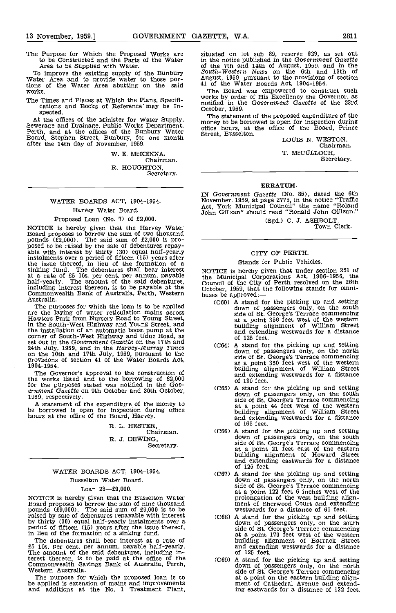The Purpose for Which the Proposed Works are to be Constructed and the Parts of the Water Area to be Supplied with Water.

To improve the existing supply of the Bunbury South-Western News on the 6th and Water Area and to provide water to those por-<br>tions of the Water Area abutting on the said  $\frac{41}{1}$  of the Water Boards Act, 1904-1954. works.

The Times and Places at Which the Plans, Specifi-<br>cations and Books of Reference' may be In-<br>specific in the Government Gazette of the 23rd<br>spected.<br>The statement of the proposed expenditure of the<br>At the effece of the Min

At the offices of the Minister for Water Supply, money<br>Sewerage and Drainage, Public Works Department, money<br>Perth, and at the offices of the Bunbury Water Board, Stephen Street, Bunbury, for one month after the 14th day of November, 1959.

W. E. MCKENNA,<br>Chairman.

R. HOUGHTON, Secretary.

#### WATER BOARDS ACT, 1904-1954. Harvey Water Board.

#### Proposed Loan (No. 7) of £2,000.

NOTICE is hereby given that the Harvey Water Board proposes to borrow the sum of two thousand pounds  $(£2,000)$ . The said sum of  $£2,000$  is pro-<br>posed to be raised by the sale of debentures repay-<br>able with interest by thirty  $(30)$  equal half-yearly instalments over a period of fifteen (15) years after the issue thereof, in lieu of the formation of a sinking fund. The debentures shall bear interest at a rate of £5 l0s. per cent. per annum, payable half-yearly. The amount of the said debentures, including interest thereon, is to be payable at the Cotob Commonwealth Bank of Australia, Perth, Western buses Australia.

are the laying of water reticulation mains across Hawters Park from Nursery Road to Young Street, the installation of an automatic boost pump at the corner of South-West Highway and Uduc Road, as set out in the Government Gazette on the 17th and 24th July, 1959, and in the Harvey-Murray Times on the 10th and 17th July, 1959, pursuant to the provisions of section 41 of the Water Boards Act. 19 04-1 954.

The Governor's approval to the construction of the works listed and to the borrowing of £2,000 for the purposes stated was notified in the Gov-<br>ernment Gazette on 9th October and 30th October,

1959, respectively.<br>A statement of the expenditure of the money to be borrowed is open for inspection during office hours at the office of the Board, Harvey.

> R. L. HESTER, Chairman. R. J. DEWING, Secretary.

### WATER BOARDS ACT, 1904-1954. Busselton Water Board.

#### Loan  $23 - £9,000$ .

NOTICE is hereby given that the Busselton Water Board proposes to borrow the sum of nine thousand pounds (£9,000). The said sum of £9,000 is to be raised by sale of debentures repayable with interest by thirty (30) equal half-yearly instalments over a<br>period of fifteen (15) years after the issue thereof,<br>in lieu of the formation of a sinking fund.<br>The debentures shall bear interest at a rate of<br>£5 10s. per cent. per an

£5 lOs. per cent, per annum, payable half-yearly. The amount of the said debentures, including interest thereon, is to be paid at the office of the Commonwealth Savings Bank of Australia, Perth, Western Australia.

The purpose for which the proposed loan is to be applied is extension of mains and improvements and additions at the No. <sup>I</sup> Treatment Plant,

situated on lot sub 89, reserve 629, as set out in the notice published in the Government Gazette in the notice published in the Government Gazette of the 7th and 14th of August, 1959, and in the South-Western News on the 6th and 13th of August, 1959, pursuant to the provisions of section

The Board was empowered to construct such works by order of His Excellency the Governor, as whiled in the Government Gazette of the 23rd<br>October, 1959.

money to be borrowed is open for inspection during<br>office hours, at the office of the Board, Prince<br>Street, Busselton. LOUIS N. WESTON, Chairman.

T. McCULLOCH, Secretary.

#### ERRATUM.

IN Government Gazette (No. 85), dated the 6th November, 1959, at page 2775, in the notice "Traffic Act, York Municipal Council" the name "Roland John Gillzan" should read "Ronald John Gillzan."

(Sgd.) C. J. ASHBOLT,<br>Town Clerk.

#### CITY OF PERTH.

#### Stands for Public Vehicles.

NOTICE is hereby given that under section 251 of the Municipal Corporations Act, 1906-1956. the Council of the City of Perth resolved on the 26th October, 1959, that the following stands for omni-<br>buses be approved: —<br>(C60) A stand for the picking up and setting

- istralia.<br>The purposes for which the loan is to be applied (C60) A stand for the picking up and setting down of passengers only, on the south side of St. George's Terrace commencing at a point 358 feet west of the western building alignment of William Street and extending westwards for a distance of 125 feet.
	- A stand for the picking up and setting down of passengers only, on the north side of St. George's Terrace commencing at a point 350 feet west of the western building alignment of William Street and extending westwards for a distance of 130 feet.
	- A stand for the picking up and setting down of passengers only, on the south side of St. George's Terrace commencing at a point 44 feet west of the western building alignment of William Street and extending westwards for a distance of 165 feet.
	- (C66) A stand for the picking up and setting down of passengers only, on the south side of St. George's Terrace commencing at a point 21 feet east of the eastern building alignment of Howard Street and extending eastwards for a distance of 125 feet.
	- A stand for the picking up and setting down of passengers only, on the north side of St. George's Terrace commencing at a point 122 feet 6 inches west of the prolongation of the west building align- ment of Sherwood Court and extending westwards for a distance of 61 feet.
	- A stand for the picking up and setting down of passengers only, on the south side of St. George's Terrace commencing at a point 170 feet west of the western building alignment of Barrack Street and extending westwards for a distance of 125 feet.
	- (C69) A stand for the picking up and setting down of passengers only, on the north side of St. George's Terrace commencing at a point on the eastern building align- ment of Cathedral Avenue and extending the effected and extend-<br>ing eastwards for a distance of 132 feet.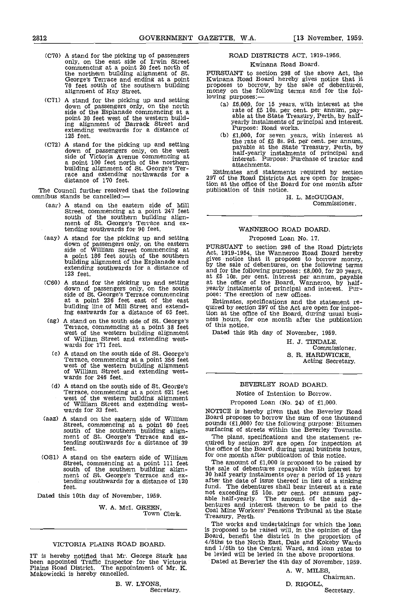- (C70) A stand for the picking up of passengers only, on the east side of Irwin Street commencing at a point 20 feet north of the northern building alignment of St. PURS<br>George's Terrace and ending at a point Kwina<br>70 feet south of the southern building propos alignment of Hay Street.
- $(C71)$  A stand for the picking up and setting down of passengers only, on the north side of the Esplanade commencing at a side of the Esplanade commencing at a point 30 feet west of the western building alignment of Barrack Street and extending westwards for a distance of 125 feet.
- (072) A stand for the picking up and setting down of passengers only, on the west side of Victoria Avenue commencing at a point 100 feet north of the northern building alignment of St. George's Ter-<br>race and extending northwards for a distance of 170 feet.

The Council further resolved that the following omnibus stands be cancelled:—

- (aar) A stand on the eastern side of Mill Street, commencing at a point 247 feet south of the southern building align- ment of St. George's Terrace and extending southwards for 90 feet.
- (aay) A stand for the picking up and setting down of passengers only, on the eastern<br>side of William Street commencing at Act, 1<br>a point 186 feet south of the southern sives building alignment of the Esplanade and  $\frac{g_1}{g_1}$  by the extending southwards for a distance of 123 feet.
- (C60) A stand for the picking up and setting at the down of passengers only, on the south yearly at a point 236 feet east of the east building line of Mill Street and extend-<br>Ing eastwards for a distance of 65 feet.
- (ag) A stand on the south side of St. George's Terrace, commencing at a point 38 feet west of the western building alignment of William Street and extending west- wards for 171 feet.
- A stand on the south side of St. George's Terrace, commencing at a point 356 feet west of the western building alignment of William Street and extending west- wards for 246 feet.
- A stand on the south side of St. George's Terrace, commencing at a point 621 feet west of the western building alignment west of William Street and extending west- wards for 33 feet. World's is hereby given that the Beverl
- (aaz) A stand on the eastern side of William Street, commencing at a point 60 feet pound<br>south of the southern building align-<br>ment of St. George's Terrace and ex-<br>tending southwards for a distance of 39 quired<br>feet. the of
- (OS1) A stand on the eastern side of William for one month after publication of this notice. Street, commencing at a point 111 feet The<br>south of the southern building align-<br>ment of St. George's Terrace and ex-<br>tending southwards for a distance of 120 after<br>feet. fund.

Dated this 10th day of November, 1959.

W. A. McI. GREEN, Town Clerk.

#### VICTORIA PLAINS ROAD BOARD.

IT is hereby notified that Mr. George Stark has been appointed Traffic Inspector for the Victoria Plains Road District. The appointment of Mr. K. Makowiecki is hereby cancelled.

#### ROAD DISTRICTS ACT, 1919-1956.

#### Kwinana Road Board.

PURSUANT to section 298 of the above Act, the Kwinana Road Board hereby gives notice that it proposes to borrow, by the sale of debentures, money on the following terms and for the folmoney on the reflecting

- £6,000, for 15 years, with interest at the rate of £5 10s. per cent. per annum, pay-<br>able at the State Treasury, Perth, by half-<br>yearly instalments of principal and interest.<br>Purpose: Road works.<br>£1,000, for seven years, with interest at
- the rate of £5 8s. 9d. per cent. per annum, payable at the State Treasury, Perth, by half-yearly instalments of principal and interest. Purpose: Purchase of tractor and attachments.

Estimates and statements required by section 297 of the Road Districts Act are open for inspection at the office of the Board for one month after publication of this notice.

H. L. McGIJIGAN, Commissioner.

#### WANNEROO ROAD BOARD.

#### Proposed Loan No. 17.

PURSUANT to section 298 of the Road Districts Act, 1919-1954, the Wanneroo Road Board hereby<br>gives notice that it proposes to borrow money,<br>by the sale of debentures, on the following terms<br>and for the following purposes: £8,000, for 20 years,<br>at £5 10s. per cent. int

Estimates, specifications and the statement re- quired by section 297 of the Act are open for inspection at the office of the Board, during usual busi- ness hours, for one month after the publication of this notice.

Dated this 9th day of November, 1959,

H. J. TINDALE, Commissioner. S. R. HARDWICKE, Acting Secretary.

#### BEVERLEY ROAD BOARD.

#### Notice of Intention to Borrow.

#### Proposed Loan (No. 24) of £1,000.

NOTICE is hereby given that the Beverley Road Board proposes to borrow the sum of one thousand pounds (tl,000) for the following purpose: Bitumen surfacing of streets within the Beverley Townsite.

The plans, specifications and the statement re- quired by section 297 are open for inspection at the office of the Board, during usual business hours, for one month after publication of this notice.

The amount of £1,000 is proposed to be raised by the sale of debentures repayable with interest by 30 half yearly instalments over a period of 15 years after the date of issue thereof in lieu of a sinking fund. The debentures shall bear interest at a rate not exceeding £5 los. per cent. per annum pay- able half-yearly. The amount of the said debentures and interest thereon to be paid to the Coal Mine Workers' Pensions Tribunal at the State Treasury, Perth.

The works and undertakings for which the loan is proposed to be raised will, in the opinion of the Board, benefit the district in the proportion of  $4/5$ ths to the North East, Dale and Kokeby Wards and  $1/5$ th to the Central Ward, and loan rates to be levied will be

Dated at Beverley the 4th day of November, 1959.

A. W. MILES

Chairman.

D. RIGOLL, Secretary.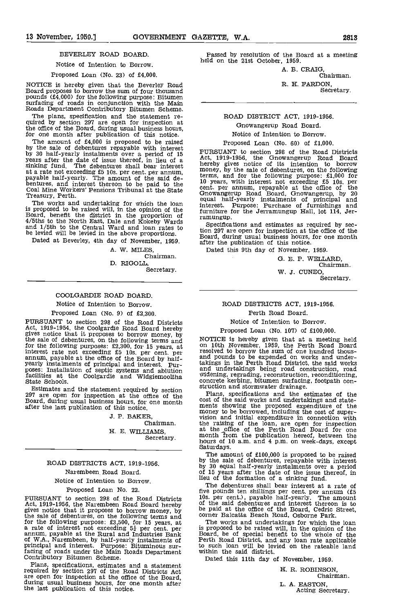#### BEVERLEY ROAD BOARD.

#### Notice of Intention to Borrow.

#### Proposed Loan (No. 23) of £4,000.

NOTICE is hereby given that the Beverley Road Board proposes to borrow the sum of four thousand pounds (E4,000) for the following purpose: Bitumen surfacing of roads in conjunction with the Math Roads Department Contributory Bitumen Scheme.

The plans, specification and the statement re- quired by section 297 are open for inspection at the office of the Board, during usual business hours, for one month after publication of this notice.

The amount of £4,000 is proposed to be raised by the sale of debentures repayable with interest<br>by 30 half-yearly instalments over a period of 15 PURS<br>years after the date of issue thereof, in lieu of a Act, 1 sinking fund. The debentures shall bear interest  $\frac{h}{n}$ at a rate not exceeding £5 los. per cent. per annum, payable half-yearly. The amount of the said de- bentures, and interest thereon to be paid to the Coal Mine Workers' Pensions Tribunal at the State Treasury, Perth.

The works and undertaking for which the loan interes is proposed to be raised will, in the opinion of the Board, benefit the district in the proportion of  $4/5$ ths to the North East, Dale and Kokeby Wards and  $1/5$ th to the Central Ward and loan rates to the nonbe levied will be levied in the above proportions.

Dated at Beverley, 4th day of November, 1959.

A. W. MILES, Chairman. D. RIGOLL,

Secretary.

#### COOLGARDIE ROAD BOARD.

Notice of Intention to Borrow.

Proposed Loan (No. 9) of £2,300.

PURSUANT to section 298 of the Road Districts Act, 1919-1954, the Coolgardie Road Board hereby gives notice that it proposes to borrow money, by the sale of debentures, on the following terms and MOTI for the following purposes:  $£2,300,$  for 15 years, at on interest rate not exceeding  $£5$  10s. per cent. per rest. pur-<br>annum, payable at the office of the Board by half-<br>yearly instalments of principal and interest. Pur poses: Installation of septic systems and ablution and tacilities at the Coolgardie and Widgiemooltha State Schools.

Estimates and the statement required by section<br>297 are open for inspection at the office of the Plans, specifications and the expand, during usual business hours, for one month<br>Board, during usual business hours, for one after the last publication of this notice.

> J. P. BAKER, Chairman. H. E. WILLIAMS, Secretary.

#### ROAD DISTRICTS ACT, 1919-1956. Narembeen Road Board. Notice of Intention to Borrow.

Proposed Loan No. 22.

PURSUANT to section 298 of the Road Districts Act, 1919-1956, the Narembeen Road Board hereby of the gives notice that it proposes to borrow money, by being the sale of debentures, on the following terms and<br>for the following purpose: £3,500, for 15 years, at The<br>a rate of interest not exceeding  $5\frac{1}{2}$  per cent. per as pro<br>annum, payable at the Rural and Industries Bank B of WA., Narembeen, by half-yearly instalments of principal and interest. Purpose: Bituminous sur- facing of roads under the Main Roads Department Contributory Bitumen Scheme.

Plans, specifications, estimates and a statement<br>required by section 297 of the Road Districts Act<br>are open for inspection at the office of the Board,<br>during usual business hours, for one month after<br>the last publication o

Passed by resolution of the Board at a meeting held on the 21st October, 1959.

A. B. CRAIG, Chairman.

R. H. PARDON,

Secretary.

## ROAD DISTRICT ACT, 1919-1956. Gnowangerup Road Board.

#### Notice of Intention to Borrow. Proposed Loan (No. 60) of £1,000.

PURSUANT to section 298 of the Road Districts Act, 1919-1956, the Gnowangerup Road Board hereby gives notice of its intention to borrow money, by the sale of debentures, on the following terms, and for the following purpose:  $\pounds1,000$  for 10 years, with interest not exceeding  $\pounds5$  10s, per cent. per annum, repayable at the office of the Gnowangerup Road Board, Gnowangerup, by 20 equal half-yearly insta interest. Purpose: Purchase of furnishings and furniture for the Jerramungup Hall, lot 114, Jer-ramungup.

Specifications and estimates as required by section 297 are open for inspection at the office of the Board, during usual business hours, for one month after the publication of this notice.

Dated this 9th day of November, 1959.

E. P. WELLARD, Chairman. W. J. CUNEO,<br>Secretary.

#### ROAD DISTRICTS ACT, 1919-1956.

Perth Road Board.

Notice of Intention to Borrow.

Proposed Loan (No. 107) of £100,000.

NOTICE is hereby given that at a meeting held on 10th November, 1959, the Perth Road Board resolved to borrow the sum of one hundred thousand pounds to be expended on works and under-<br>takings in the Perth Road District, the said works<br>and undertakings being road construction, road<br>widening, regrading, reconstruction, reconditioning,<br>concrete kerbing, hitumen

Plans, specifications and the estimates of the cost of the said works and undertakings and statecost of the said works and undertakings and statements showing the proposed expenditure of the money to be borrowed, including the cost of supervision and initial expenditure in connection with the raising of the loan, ar

hours of 10 a.m. and 4 p.m. on week-days, except<br>Saturdays.<br>The amount of £100,000 is proposed to be raised<br>by the sale of debentures, repayable with interest<br>by 30 equal half-yearly instalments over a period<br>of 15 years a

lieu of the formation of a sinking fund. The debentures shall bear interest at a rate of five pounds ten shillings per cent. per annum (5 lOs. per cent.), payable half-yearly. The amount of the said debentures and interest thereon is to be paid at the office of the Board, Cedric Street, corner Balcatta Beach Road, Osborne Park.

The works and undertakings for which the loan is proposed to be raised will, in the opinion of the Board, be of special benefit to the whole of the Perth Road District, and any loan rate applicable to such loan will be levied on the rateable land within the said district.

Dated this 11th day of November, 1959.

R. ROBINSON, Chairman. L. A. EASTON, Acting Secretary.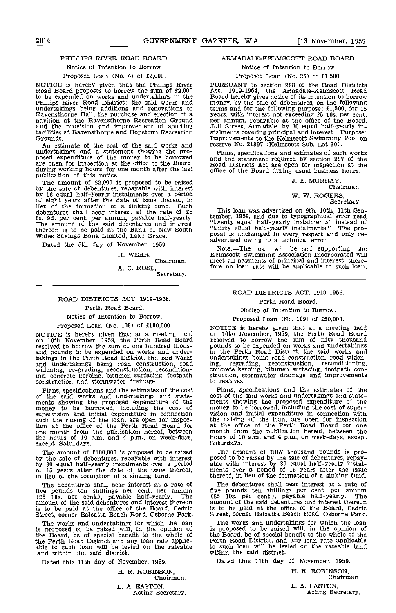#### PHILLIPS RIVER ROAD BOARD.

#### Notice of Intention to Borrow.

#### Proposed Loan (No. 4) of £2,000.

NOTICE is hereby given that the Phillips River PURS<br>Road Board proposes to borrow the sum of £2,000 Act, to be expended on works and undertakings in the Board<br>Phillips River Road District; the said works and money undertakings being additions and renovations to therms<br>Ravensthorpe Hall, the purchase and erection of a pears,<br>pavilion at the Ravensthorpe Recreation Ground per ar and the provision and improvement of sporting Juli St facilities at Ravensthorpe and Hopetoun Recreation Grounds. An estimate of the cost of the said works and

undertakings and a statement showing the pro-<br>posed expenditure of the money to be borrowed and the are open for inspection at the office of the Board, during working hours, for one month after the last  $\overline{a}$  opublication of this notice.

publication of this notice.<br>The amount of £2,000 is proposed to be raised<br>by the sale of debentures, repayable with interest<br>by 16 equal half-yearly instalments over a period by the sale of debentures, repayable with interest<br>by 16 equal half-yearly instalments over a period<br>of eight years after the date of issue thereof, in<br>lieu of the formation of a sinking fund. Such<br>debentures shall bear i as. 9d. per cent. per annum, payable half-yearly, the amount of the said debentures and interest ... thereon is to be paid at the Bank of New South "thirty"<br>Wales Savings Bank Limited, Lake Grace. posal in

Dated the 5th day of November, 1959.

H. WEHR, Chairman. A. C. ROSE,<br>Secretary.

#### ROAD DISTRICTS ACT, 1919-1956. Perth Road Board.

#### Notice of Intention to Borrow.

Proposed Loan (No. 108) of £100,000.

NOTICE is hereby given that at a meeting held on 10th November, 1959, the Perth Road Board resolver<br>resolved to borrow the sum of one hundred thous-<br>and pounds to be expended on works and under-<br>takings in the Perth Road District, the said works undertakings height co ing, concrete kerbing, bitumen surfacing, footpath struct construction and stormwater drainage.

Plans, specifications and the estimates of the cost of the said works and undertakings and state-<br>ments showing the proposed expenditure of the ments<br>money to be borrowed, including the cost of mone supervision and initial expenditure in connection vision<br>with the raising of the loan, are open for inspection at the office of the Perth Road Board for at the<br>one month from the publication hereof, between month from the

The amount of £100,000 is proposed to be raised<br>by the sale of debentures. repayable with interest<br>by 30 equal half-yearly instalments over a period<br>of 15 years after the date of the issue thereof, ments over a period of 1

The debentures shall bear interest at a rate of five debent<br>five pounds ten shillings per cent, per annum five pounds (E5 10s. per cent.), payable half-yearly. The (E5 1<br>amount of the said debentures and interest thereon amoun is to be paid at the office of the Board, Cedric Street, corner Balcatta Beach Road, Osborne Park.

is proposed to be raised will, in the opinion of the Board, be of special benefit to the whole of the Perth Road District and any loan rate applic- able to such loan will be levied on the rateable land within the said district.

Dated this 11th day of November, 1959.

# H. R. ROBINSON, Chairman. L. A. EASTON, Acting Secretary.

#### ARMADALE-KELMSCOTT ROAD BOARD.

Notice of Intention to Borrow.

#### Proposed Loan (No. 35) of £1,500.

PURSUANT to section 298 of the Road Districts Act, 1919-1954, the Armadale-Kelmsoott Road Board hereby gives notice of its intention to borrow money, by the sale of debentures, on the following years, with interest not exceeding £5 10s. per cent.<br>per annum, repayable at the office of the Board,<br>Jull Street, Armadale, by 30 equal half-yearly in-<br>stalments covering principal and interest. Purpose: Improvements to the Kelmscott Swimming Pool on reserve No. 21897 (Kelmscott Sub. Lot 30).

Plans, specifications and estimates of such works and the statement required by section 29'? of the Road Districts Act are open for inspection at the office of the Board during usual business hours.

J. E. MURRAY, Chairman.

W. W. ROGERS, Secretary.

This loan was advertised on 9th, 10th. 11th Sep-tember, 1959, and due to typographical error read "twenty equal half-yearly instalments" instead of "thirty equal half-yearly instalments." The pro-<br>posal is unchanged in every respect and only re-<br>advertised owing to a technical error.

Note.—The loan will be self supporting, the Kelmscott Swimming Association Incorporated will meet all payments of principal and interest, therefore no loan rate will be applicable to such loan.

#### ROAD DISTRICTS ACT, 1919-1956.

#### Perth Road Board.

Notice of Intention to Borrow.

Proposed Loan (No. 109) of £50,000.

NOTICE is hereby given that at a meeting held on 10th November, 1959, the Perth Road Board resolved to borrow the sum of fifty thousand pounds to be expended on works and undertakings in the Perth Road District, the said works and undertakings being road construction, road widen-ing, regrading, reconstruction, reconditioning, concrete kerbing, bitumen surfacing, footpath con- struction, stormwater drainage and improvements to reserves.

Plans. specifications and the estimates of the cost of the said works and undertakings and state- ments showing the proposed expenditure of the money to be borrowed, including the cost of super- vision and initial expenditure in connection with the raising of the loan, are open for inspection at the office of the Perth Road Board for one month from the publication hereof, between the hours of 10 a.m. and 4 p.m., on week-days, except Saturdays.

The amount of fifty thousand pounds is pro-<br>posed to be raised by the sale of debentures, repay-<br>able with interest by 30 equal half-yearly instal-<br>ments over a period of 15 years after the issue thereof, in lieu of the formation of a sinking fund.

The debentures shall bear interest at a rate of five pounds ten shillings per cent. per annum (ES lOs. per cent.), payable half-yearly. The amount of the said debentures and interest thereon is to be paid at the office of the Board, Cedric Street, corner Balcatta Beach Road, Osborne Park.

The works and undertakings for which the loan The works and undertakings for which the loan The works and undertakings for which the loan is proposed to be raised will, in the opinion of the Board, be of special benefit to the whole of the Perth Road District, and any loan rate applicable to such loan will be levied on the rateable land within the said district.

Dated this 11th day of November, 1959.

H. R. ROBINSON, Chairman. L, A. EASTON,

Acting Secretary.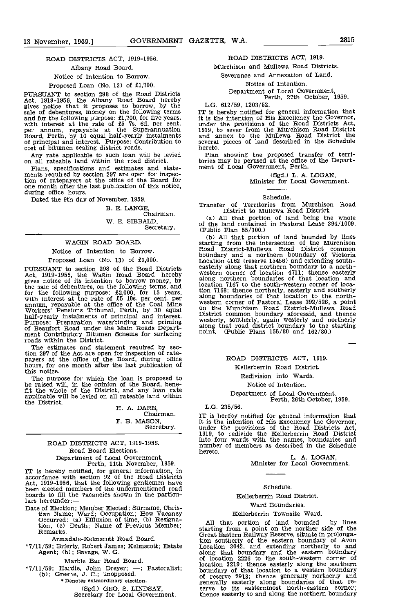#### ROAD DISTRICTS ACT, 1919-1956. Albany Road Board. Notice of Intention to Borrow. Proposed Loan (No. 13) of £1,700.

PURSUANT to section 298 of the Road Districts Act, 1919-1956, the Albany Road Board hereby gives notice that it proposes to borrow, by the sale of debentures, money on the following terms IT is<br>and for the following purpose:  $\pounds1,700$ , for five years, it is t<br>with interest at the rate of  $\pounds5$  7s. 6d. per cont. under<br>per anum, repayable at the Superamuatio cost of bitumen sealing district roads.

Any rate applicable to such loan will be levied<br>on all rateable land within the road district.<br>Plans, specifications and estimates and state-

Plans, specifications and estimates and state-<br>ments required by section 297 are open for inspection of ratepayers at the office of the Board for one month after the last publication of this notice, during office hours.

Dated the 9th day of November, 1959.

B. E. LANGE, Chairman. W. B. SIBBALD, Secretary.

#### WAGIN ROAD BOARD.

#### Notice of Intention to Borrow. Proposed Loan (No. 13) of £2,000.

PURSUANT to section 298 of the Read Districts Act, 1919-1956, the Wagin Road Board hereby gives notice of its intention to borrow money, by<br>the sale of debentures, on the following terms, and<br>for the following purpose: £2,000, for 15 years, tion 71<br>with interest at the rate of £5 10s. per cent. per<br>annum, repay of Beaufort Road under the Main Roads Depart-<br>ment Contributory Bitumen Scheme for surfacing point. roads within the District. roads within the District.<br>The estimates and statement required by sec-

tion 297 of the Act are open for inspection of rate- payers at the office of the Board, during office hours, for one month after the last publication of this notice.

The purpose for which the loan is proposed to be raised will, in the opinion of the Board, bene- fit the whole of the District, and any loan rate applicable will be levied on all rateable land within the District.

# H. A. DARE, Chairman. F. B. MASON,<br>Secretary.

#### ROAD DISTRICTS ACT, 1919-1956. Road Board Elections. Department of Local Government, Perth, 11th November, 1959.

IT is hereby notified, for general information, in accordance with section 92 of the Road Districts Act, 1919-1956, that the following gentlemen have been elected members of the undermentioned road boards to fill the vacancies shown in the particulars hereunder:

Date of Election; Member Elected; Surname, Chris-tian Name; Ward; Occupation; How Vacancy Occurred: (a) Effiuxion of time, (b) Resignation, (c) Death; Name of Previous Member;<br>Remarks.

Armadale-Kelmscott Road Board.

\*7/11/59; Brierty, Robert James; Kelmscott; Estate Agent; (b); Savage, W. G.

Marble Bar Road Board.

\*7/11/59; Hardie, John Dreyer; -; Pastoralist; (b); Greene, J. C.; unopposed.<br>\* Denotes extraordinary election.

(Sgd.) GEO. S. LINDSAY,<br>Secretary for Local Government.

#### ROAD DISTRICTS ACT, 1919.

Murchison and Mullewa Road Districts.

Severance and Annexation of Land,

Notice of Intention. Department of Local Government, Perth, 27th October, 1959.

L.G. 612/59, 1203/52.

IT is hereby notified for general information that it is the intention of His Excellency the Governor, under the provisions of the Road Districts Act, 1919, to sever from the Murchison Road District and annex to the Mullewa Road District the several pieces of land described in the Schedule hereto.

Plan showing the proposed transfer of territories may be perused at the office of the Depart- ment of Local Government, Perth.

(Sgd.) L. A. LOGAN, Minister for Local Government.

#### Schedule.

Transfer of Territories from Murchison Road District to Mullewa Road District.

All that portion of land being the whole of the land contained in Pastoral Lease 394/1009.

(Public Plan 55/300.)<br>(b) All that portion of land bounded by lines starting from the intersection of the Murchison Road District-Mullewa Road District common boundary and a northern boundary of Victoria<br>Location 4162 (reserve 15456) and extending south-<br>easterly along that northern boundary to a north-<br>western corner of location 4711; thence easterly along northern boundaries of that location and location 7167 to the south-western corner of location 7168; thence northerly, easterly and southerly along boundaries of that location to the north-<br>western corner of Pastoral Lease 392/526, a point District common boundary aforesaid, and thence westerly, southerly, again westerly and northerly along that road district boundary to the starting point. (Public Plans 155/80 and 162/80.)

#### ROAD DISTRICTS ACT, 1919.

#### Kellerberrin Road District.

Redivision into Wards.

#### Notice of Intention.

Department of Local Government. Perth, 26th October, 1959.

L.G. 235/56.

IT is hereby notified for general information that it is the intention of His Excellency the Governor, under the provisions of the Road Districts Act, 1919, to redivide the Kellerberrin Road District into four wards with the names, boundaries and number of members as described in the Schedule hereto.

L. A. LOGAN. Minister for Local Government.

#### Schedule.

#### Kellerberrin Road District.

#### Ward Boundaries.

#### Kellerberrin Townsite Ward.

All that portion of land bounded by lines starting from a point on the norther side of the Great Eastern Railway Reserve, situate in prolongation southerly of the eastern boundary of Avon Location 3042, and extending northerly to and along that boundary and the eastern boundary of location 2226 to the south-western corner of location 3219; thence easterly along the southern boundary of that location to a western boundary of reserve 2913; thence generally northerly and generally easterly along boundaries of that reserve to its easternmost north-eastern corner;<br>thence easterly to and along the northern boundary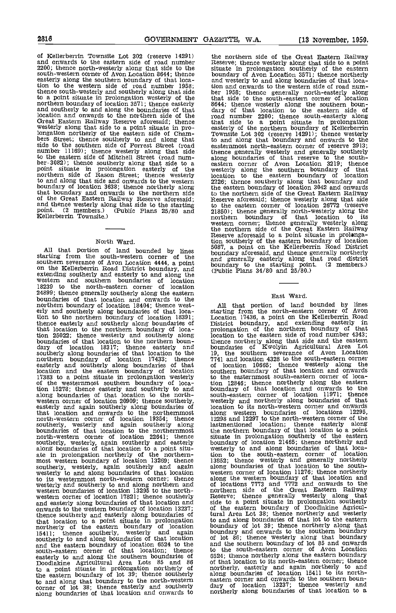2816 GOVERNMENT GAZETTE, WA. [13 November, 1059.

of Kellerberrin Townsite Lot 302 (reserve 14291) and onwards to the eastern side of road number 2200; thence north-westerly along that side to the south-western corner of Avon Location 8644; thence easterly along the southern boundary of that location to the western side of road number 1958; then<br>thence south-westerly and southerly along that side ber to a point situate in prolongation westerly of the northern boundary of location 3571; thence easterly and southerly to and along the boundaries of that dary location and onwards to the northern side of the nord Great Eastern Railway Reserve aforesaid; thence that westerly along that side to a point situate in pro- easte longation northerly of the eastern side of the eastern side of Cham-<br>side to the southern side of Forrest Street (road<br>number 11169); thence westerly along that side<br>to the eastern side of Mitchell Street (road numnumber 11169); thence westerly along that side thence<br>to the eastern side of Mitchell Street (road num-<br>her-3082); thence southerly along that side to a eastern<br>point situate in prolongation easterly of the westerl;<br>northe boundary of location 3638; thence northerly along the ea that boundary and onwards to the northern side to the Great Eastern Railway Reserve aforesaid; and thence westerly along that side to the starting to the point. (2 members.) (Public Plans 25/80 and 21850);<br>Kellerberrin Townsite.) (Public Plans 25/80 and 21850);

North Ward.<br>All that portion of land bounded by lines All that portion of land bounded by lines starting from the south-western corner of the same starting from the south-western corner of the and generally easterly along that road district on the Kellerberrin Road District b on the Kellerberrin Road District boundary, and extending southerly and easterly to and along the western and southern boundaries of location 18239 to the north-eastern corner of location 24899; thence generally southerly along the eastern boundaries of that location and onwards to the northern boundary of location 18404; thence west-<br>erly and southerly along boundaries of that loca-<br>tion to the northern boundary of location 18391; Lo thence easterly and southerly along boundaries of that location to the northern boundary of loca-<br>that location to the northern boundary of location 25022; thence westerly and southerly along boundaries of that location to the northern boundary of location 18317; thence easterly and bound southerly along boundaries of that location to the 19, the northern boundary of location 17433; thence 7741 easterly and southerly along boundaries of that of location and the eastern boundary of location south 17383 to a point situate in prolongation westerly to the 17383 to a point situate in prolongation westerly to the tion 15278; thence easterly and southerly to and boundarions boundaries of that location to the north-<br>south-western corner of location 20909; thence southerly, wester-<br>easterly and again southerly along boundaries of loca that location and onwards to the northernmost north-western corner of location 19354; thence southerly, westerly and again southerly along bastme<br>boundaries of that location to the northernmost the north-western corner of location 22641; thence situate southerly, westerly, again southerly and easterly bounds along boundaries of that location to a point situ-<br>ate in prolongation northerly of the northern- tion<br>most western boundary of location 13269; thence 13852 southerly, westerly, again southerly and again along boundaries of that location western<br>westerly to and along boundaries of that location western to its westernmost north-western corner; thence westerly and southerly to and along northern and western boundaries of location 13295 to the northwestern corner of location 17821; thence southerly Reserve and easterly along boundaries of that location and side to onwards to the western boundary of location 13237; thence southerly and easterly along boundaries of that location to a point situate in prolongation to and northerly of the eastern boundary of location boundary 15411; thence southerly, westerly and again southerly to and along boundaries of that location and the eastern boundary of location 6524 to the and south-eastern corner of that location; thence to the easterly to and along the southern boundaries of 6524; the boodlakine Agricultural Area Lots 85 and 86 of that to a point situate in prolongation northerly of the eastern boundary of lot 39; thence southerly to and along that boundary to the north-western corner of lot 38; thence easterly and southerly dary along boundaries of that location and onwards to

the northern side of the Great Eastern Railway Reserve; thence westerly along that side to a point situate in prolongation southerly of the eastern boundary of Avon Location 3571; thence northerly and westerly to and along boundaries of that loca-tion and onwards to the western side of road num-ber 1958; thence generally north-easterly along that side to the south-eastern corner of location 8644; thence westerly along the southern boun- dary of that location to the eastern side of road number 2200; thence south-easterly along that side to a point situate in prolongation easterly of the northern boundary of Kellerberrin Townsite Lot 302 (reserve 14291); thence westerly to and along that boundary and onwards to the easternmost north-eastern corner of reserve 2913;<br>thence generally westerly and generally southerly<br>along boundaries of that reserve to the south-<br>eastern corner of Avon Location 3219; thence westerly along the southern boundary of that location to the eastern boundary of location 2226; thence southerly along that boundary and the eastern boundary of location 3042 and onwards to the northern side of the Great Eastern Railway Reserve aforesaid; thence westerly along that side to the eastern corner of location 26772 (reserve 21850); thence generally north-westerly along that side to the eastern corner of location 26772 (reserve 21850); thence generally north-westerly along the northern boundary western corner; thence generally westerly along<br>the northern side of the Great Eastern Railway the northern side of the Great Eastern Railway Reserve aforesaid to a point situate in prolangation southerly of the eastern boundary of location 5087, a point on the Kellerberrin Road District boundary aforesaid, and thence generally northerly along that road district boundary to the starting point. (2 members.) (

#### East Ward.

All that portion of land bounded by lines starting from the north-eastern corner of Avon Location 17436, a point on the Kellerberrin Road District boundary, and extending easterly in<br>prolongation of the northern boundary of that<br>location to the eastern side of road number 4343; location to the eastern side of road number 4343; thence northerly along that side and the eastern boundaries of Kwolyin Agricultural Area Lot 19, the southern severance of Avon Location 7741 and location 4328 to the south-eastern corner of location 10665; thence westerly along the southern boundary of that location and onwards to the easternmost south-eastern corner of loca-tion 12846; thence northerly along the eastern boundary of that location and onwards to the south-eastern corner of location 11971; thence westerly and northerly along boundaries of that location to its north-western corner and onwards along western boundaries of locations 12295, 12298 and 12297 to the north-western corner of the lastinentioned location; thence easterly along the northern boundary of that location to a point situate in prolongation southerly of the eastern boundary of location 21465; thence northerly and<br>boundary of location 21465; thence northerly and<br>westerly to and along boundaries of that loca-<br>tion to the south-eastern corner of location<br>13852; thence westerly and gener tion to the south-eastern corner of location 13852; thence westerly and generally northerly along boundaries of that location to the south- western corner of location 11276; thence northerly along the western boundary of that location and of locations 7773 and 7772 and onwards to the northern side of the Great Eastern Railway<br>Reserve; thence generally westerly along that<br>side to a point situate in prolongation southerly of the eastern boundary of Doodlakine Agricultural Area Lot 38; thence northerly and westerly<br>to and along boundaries of that lot to the eastern<br>boundary of lot 39; thence northerly along that<br>boundary and onwards to the southern boundary<br>of lot 86; thence westerly a boundary and onwards to the southern boundary<br>of lot 86; thence westerly along that boundary<br>and the southern boundary of lot 85 and onwards to the south-eastern corner of Avon Location 6524; thence northerly along the eastern boundary 6524; thence northerly along the eastern boundary of that location to its north-eastern corner; thence northerly, easterly and again northerly to and along boundaries of location 15411 to its north- eastern corner and onwards to the southern boundary of location 13237; thence westerly and northerly along boundaries of that location to a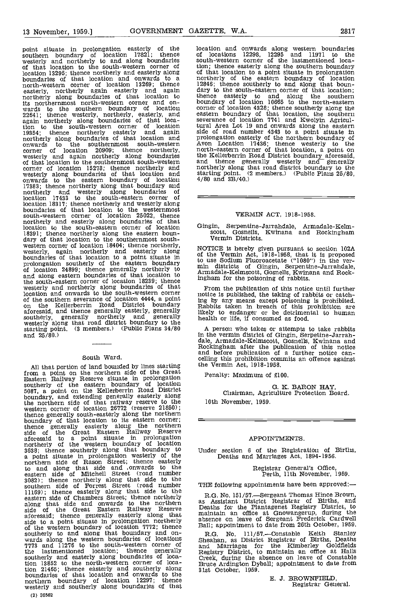point situate in prolongation easterly of the southern boundary of location 17821; thence of l westerly and northerly to and along boundaries sout<br>of that location to the south-western corner of thon location 13295; thence northerly and easterly along boundaries of that location and onwards to a north-western corner of location 13269; thence 1284 easterly, northerly again easterly and again dary to easterly along boundaries of that location to thence its northernmost north-western corner and onwards to the southern boundary of location 22641; thence westerly, northerly, easterly, and again northerly along boundaries of that location to the south-western corner of location tural 19354; thence northerly easterly and again side of northerly along boundaries of that location and prolong onwards to the southernmost south-western corner of location 20909; thence northerly, north-<br>westerly and again northerly along boundaries the K<br>of that location to the southernmost south-western and corner of location 15278; thence northerly and norther<br>westerly along boundaries of that location and starting onwards to the eastern boundary of location 17383; thence northerly along that boundary and northerly and westerly along boundaries of location 17433 to the south-eastern corner of location 18317; thence northerly and westerly along<br>boundaries of that location to the westernmost<br>south-western corner of location 25022, thence<br>northerly and easterly along boundaries of that location to the south-eastern corner of location Gingin 18391; thence northerly along the eastern boun-<br>dary of that location to the southernmost south-<br>western corner of location 18404; thence northerly, westerly, again northerly and easterly along NOTIC<br>boundaries of that location to a point situate in the lise prolongation southerly of the eastern boundary  $\frac{1}{m}$  to use of location 24899; thence generally northerly to min d<br>and along eastern boundaries of that location to armac the south-eastern corner of location 18239; thence  $\frac{mgn}{Fr}$ <br>westerly and northerly along boundaries of that  $\frac{Fr}{F}$ location and onwards to the south-western corner of the southern severance of location 4444, a point on the Kellerberrin Road District boundary Rabbi<br>aforesaid, and thence generally easterly, generally likely southerly, generally northerly and generally inclusively and generally the healt starting point. (3 members.) (Public Plans 34/80 A and 25/80.)

South Ward.<br>All that portion of land bounded by lines starting All that portion of land bounded by lines starting the V<br>from a point on the northern side of the Great Pen<br>Eastern Railway Reserve situate in prolongation southerly of the eastern boundary of location 5087, a point on the Kellerberrin Road District<br>boundary, and extending generally easterly along the northern side of that railway reserve to the western corner of location 26772 (reserve 21850); thence generally south-easterly along the northern boundary of that location to its eastern corner; thence generally easterly along the northern side of the Great Eastern Railway Reserve aforesaid to <sup>a</sup> point situate in prolongation northerly of the western boundary of location 3638; thence southerly along that boundary to Under a point situate in prolongation westerly of the northern side of Rason Street; thence easterly to and along that side and onwards to the eastern side of Mitchell Street (road number 3082); thence northerly along that side to the southern side of Forrest Street (road number<br>11169); thence easterly along that side to the eastern side of Chambers Street; thence northerly B.G.<br>along that side and onwards to the northern as Ass side of the Great Eastern Railway Reserve Deaths<br>aforesaid; thence generally easterly along that mainta<br>side to a point situate in prolongation northerly absence of the western boundary of location 7772; thence  $Ball$ ;<br>southerly to and along that boundary and on-<br>wards along the western boundaries of locations  $Bhead$ <br>7773 and 11276 to the south-western corner of and the lastmentioned location; thence generally and easterly along boundaries of loca-<br>southerly and easterly along boundaries of loca- Creel tion 13852 to the north-western corner of loca-tion 21465; thence easterly and southerly along boundaries of that location and onwards to the northern boundary of location 12297; thence westerly and southerly along boundaries of that

(2) 30562

location and onwards along western boundaries of locations 12298, <sup>12295</sup> and <sup>11971</sup> to the south-western corner of the lastmentioned location; thence easterly along the southern boundary of that location to a point situate in prolongation northerly of the eastern boundary of location 12846; thence southerly to and along that boun- dary to the south-eastern corner of that location; thence easterly to and along the southern boundary of location 10665 to the north-eastern corner of location 4328; thence southerly along the eastern boundary of that location, the southern severance of location 7741 and Kwolyin Agricul-tural Area Lot 19 and onwards along the eastern side of road number 4343 to a point situate in prolongation easterly of the northern boundary of Avon Location 17436; thence westerly to the north-eastern corner of that location, a point on the Kellerberrin Road District boundary aforesaid, and thence generally westerly and generally northerly along that road district boundary to the starting point. (2 members.) (Public Plans 25/80, 4/80 and 3B/40.)

#### VERMIN ACT, 1918-1958.

Gingin, Serpentine-Jarrandale, Armadale-Keim-scott, Gosnells, Kwinana and Rockingham Vermin Districts.

NOTICE is hereby given pursuant to section 102A of the Vermin Act, 1918-1958, that it is proposed to use Sodium Pluoroaoetate ("1080") in the ver- min districts of Gingin, Serpentine-Jarrandale, Armadale-Kelmscott, Gosnells, Kwinana and Rockingham for the poisoning of rabbits.

From the publication of this notice until further notice is published, the taking of rabbits or catching by any means except poisoning is prohibited. Rabbits taken in breach of this prohibition are likely to endanger or be detrimental to human health or life, if consumed as food.

A person who takes or attempts to take rabbits dale, Armadale-Kelmscott, Gosnells, Kwimana and<br>Rockingham after the publication of this notice<br>and before publication of a further notice can-<br>celling this prohibition commits an offence against the Vermin Act, 1918-1958.

Penalty: Maximum of £100.

G. K. BARON HAY, Chairman, Agriculture Protection Board. 10th November, 1959.

#### APPOINTMENTS.

Under section 6 of the Registration of Births, Deaths and Marriages Act, 1894-1956.

Registrar General's Office, Perth, 11th November, 1959.

THE following appointments have been approved: $-$ 

R.G. No. 151/57.—Sergeant Thomas Hince Brown, as Assistant District Registrar of Births, and Deaths for the Plantagenet Registry District, to maintain an office at Gnowangerup, during the absence on leave of Sergeant Frederick Cardwell Ball; appointment to date from 26th October, 1959.

R.G. No. 111/57.—Constable Keith Stanley<br>Sheahan, as District Registrar of Births, Deaths Registry District, to maintain an office at Halls Creek, during the absence on leave of Constable Bruce Ardington Dyball; appointment to date from 31st October, 1959.

> B. J. BROWNFIELD Registrar General.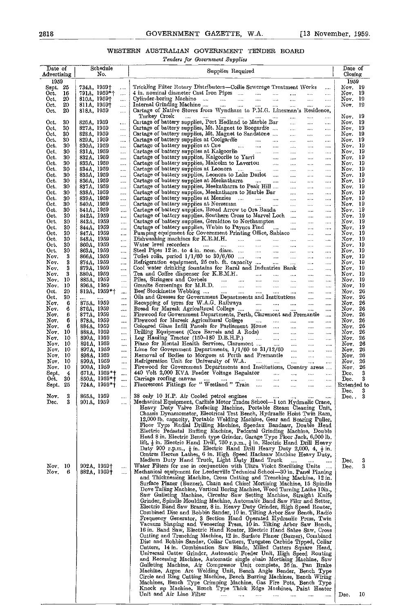# WESTERN AUSTRALIAN GOVERNMENT TENDER BOARD

Tenders for Government Supplies

| Date of<br>${\bf Ad}$ vertising |          |                          | Schedule<br>No. |                      | Supplies Required                                                                                                                                                                                                                          | Date of<br>Closing          |     |
|---------------------------------|----------|--------------------------|-----------------|----------------------|--------------------------------------------------------------------------------------------------------------------------------------------------------------------------------------------------------------------------------------------|-----------------------------|-----|
| 1959<br>Sept 25                 |          | 734A, 1959†              |                 |                      | Trickling Filter Rotary Distributors-Collie Sewcrage Treatment Works                                                                                                                                                                       | 1959<br>Nov. 19             |     |
| Oct.                            | 16       |                          | 791A, 1959*†    | $\ldots$<br>$\cdots$ |                                                                                                                                                                                                                                            | Nov. 19                     |     |
| Oct.                            | 20       | $810A, 1959\dagger$      |                 | $\cdots$             |                                                                                                                                                                                                                                            | Nov. 19                     |     |
| Oct.                            | 20       | 811A, 1959 <sup>+</sup>  |                 |                      |                                                                                                                                                                                                                                            | Nov. 19                     |     |
| Oct.                            | 20       | 818A, 1959               |                 | $\cdots$             | Tmkey Creek                                                                                                                                                                                                                                |                             |     |
| Oct.                            | 30       | 826A, 1959               |                 |                      | <b>Contractor</b><br>المتفاد المتداد المتد<br>$\mathbf{m} = 0$ , $\mathbf{m}$<br>$\ldots$<br>Cartage of battery supplies, Port Hedland to Marble Bar<br>$\ldots$                                                                           | Nov. 19<br>Nov. 19          |     |
| Oct.                            | 30       | 827A, 1959               |                 | $\cdots$<br>$\cdots$ | Cartage of battery supplies, Mt. Magnet to Boogardie<br>الممارات الملك<br>$\sim$ .                                                                                                                                                         | Nov. 19                     |     |
| Oct.                            | 30       | 828A, 1959               |                 | $\cdots$             | Cartage of battery supplies, Mt. Magnet to Sandstone<br>المتناول المتنا<br>$\cdots$                                                                                                                                                        | Nov. 19                     |     |
| Oct.                            | 30       | 829A, 1959               |                 | $\cdots$             | $\mathbf{r}_{\mathbf{r}}$<br>$\overline{\mathcal{L}}$                                                                                                                                                                                      | Nov. 19                     |     |
| Oct.                            | 30       | 830A, 1959               |                 |                      | <b>Save Common</b><br>$\cdots$<br>$\cdots$                                                                                                                                                                                                 | Nov. 19                     |     |
| Oct.                            | 30       | 831A, 1959               |                 |                      | $\ldots$ . $\ldots$<br>$\cdots$<br>$\cdots$                                                                                                                                                                                                | Nov. 19<br>$\text{Nov.}$ 19 |     |
| Oct.<br>Oct.                    | 30<br>30 | 832A, 1959<br>833A, 1959 |                 | <br>$\cdots$         | Cartage of battery supplies, Kalgoorlie to Yarri<br>Cartage of battery supplies, Malcolm to Lavertou<br>$\cdots$<br>and the state<br>$\cdots$<br>$\cdots$<br>$\cdots$<br>$\cdots$                                                          | Nov. 19                     |     |
| Oct.                            | 30       | 834A, 1959               |                 | $\cdots$             | $\cdots$<br>and the<br>$\cdots$                                                                                                                                                                                                            | Nov. 19                     |     |
| Oot-                            | 30       | 835A, 1959               |                 |                      | $\ldots$<br>and the<br>$\cdots$                                                                                                                                                                                                            | Nov. 19                     |     |
| Oct.                            | 30       | 836A, 1959               |                 | $\cdots$             | Cartage of battery supplies at Meekatharra<br>says the<br>$\ldots$<br>$\ldots$                                                                                                                                                             | Nov. 19                     |     |
| Oct.                            | 30       | 837A, 1959               |                 |                      | Cartage of battery supplies, Meekatharra to Peak Hill<br>$\mathbf{r}_{\text{max}}$ , $\mathbf{r}_{\text{max}}$<br>$\cdots$<br>$\cdots$                                                                                                     | Nov. 19                     |     |
| Oct.<br>Oct.                    | 30<br>30 | 838A, 1959<br>839A, 1959 |                 | $\cdots$<br>         | Cartage of battery supplies, Meekatharra to Marble Bar<br>$\Delta \Delta \Delta \Delta \Delta \Delta \Delta$<br>$\mathcal{L}_{\text{max}}$<br>$\cdots$<br>Cartage of battery supplies at Menzies<br><b>Section</b><br>$\sim$ .<br>$\cdots$ | Nov. 19<br>Nov. 19          |     |
| Oct.                            | 30       | 840A, 1959               |                 | $\cdots$             | Cartage of battery supplies at Norseman<br>$\sim 10^{-10}$<br>$\mathbf{1}$<br>$\cdots$                                                                                                                                                     | Nov. 19                     |     |
| Oct.                            | 30       | 841A, 1959               |                 |                      | Cartage of battery supplies, Broad Arrow to Ora Banda<br><br>$\cdots$                                                                                                                                                                      | Nov. 19                     |     |
| Oct.                            | 30       | 842A, 1959               |                 |                      | Cartage of battery supplies, Southern Cross to Marvel Loch<br>$\ldots$<br>$\cdots$                                                                                                                                                         | Nov. 19                     |     |
| Oct.                            | 30       | 843A, 1959               |                 | $\cdots$             | Cartage of battery supplies, Geraldton to Northampton<br>$\sim$ $\sim$<br>$\cdots$<br>$\cdots$                                                                                                                                             | Nov. 19                     |     |
| Oct.                            | 30       | 844A, 1959               |                 |                      | Cartage of battery supplies, Wubin to Paynes Find<br>$\cdots$<br>$\cdots$<br>Pumping equipment for Government Printing Office, Subiaco                                                                                                     | Nov. 19                     |     |
| Oct.<br>Oct.                    | 30<br>30 | 847A, 1959<br>848A, 1959 |                 |                      | $\cdots$<br>$\cdots$<br>$\cdots$<br>$\ldots$                                                                                                                                                                                               | Nov. 19<br>Now. 19          |     |
| Oct.                            | 30       | 860A, 1959               |                 | $\cdots$<br>         | $\cdots$<br>$\mathbf{1}_{\mathbf{1}_{\mathbf{2}}\mathbf{1}_{\mathbf{3}}\mathbf{1}_{\mathbf{4}}\mathbf{1}_{\mathbf{5}}\mathbf{1}_{\mathbf{6}}$<br>$\ldots$                                                                                  | Nov. $19$                   |     |
| Oct.                            | 30       | 863A, 1959               |                 | .                    | Steel Pipes 12 in. to 4 in. nom. diam.<br>$\sim 10^{-1}$<br>$\ldots$<br>$\cdots$                                                                                                                                                           | Nov. 19                     |     |
| Nov.                            | 3        | 866A, 1959               |                 |                      | Toilet rolls, period $1/1/60$ to $30/6/60$<br>المنتبذ<br>$\cdots$<br>$\cdots$                                                                                                                                                              | $\text{Nov.}$ 19            |     |
| Nov.                            | 3        | 874A, 1959               |                 |                      | Refrigeration equipment, 25 cub. ft. capacity<br>$\cdots$<br>$\cdots$                                                                                                                                                                      | Nov. 19                     |     |
| Nov.<br>Nov.                    | 3<br>3   | 879A, 1959               |                 | $\cdots$             | Cool water drinking fountains for Rural and Industries Bank<br>$\cdots$<br>                                                                                                                                                                | Nov. 19<br>Nov. 19          |     |
| Nov.                            | 10       | 880A, 1959<br>885A, 1959 |                 | <br>                 | $\cdots$<br>$\ddotsc$<br>$\cdots$<br>$\cdots$                                                                                                                                                                                              | Nov. 19                     |     |
| Nov.                            | 10       | 896A, 1959               |                 | $\cdots$             | $\ldots$<br>$\cdots$                                                                                                                                                                                                                       | Nov. 19                     |     |
| Oct.                            | 20       |                          | $819A, 1959*$   |                      | $\cdots$<br>$\cdots$                                                                                                                                                                                                                       | Nov. 26                     |     |
| Oet.                            | 30       |                          |                 |                      | Oils and Greases for Government Departments and Institutions<br>$\ldots$<br>$\cdots$                                                                                                                                                       | Nov.                        | 26  |
| Nov.                            | 6        | 875A, 1959               |                 | $\cdots$             | $\cdots$                                                                                                                                                                                                                                   | Nov.                        | 26  |
| Nov.<br>Nov.                    | 6<br>6   | 876A, 1959<br>877A, 1959 |                 | $\cdots$             | Recapping of tyres for W.A.G. Railways<br>Bread for Muresk Agricultural College<br>Firewood for Government Departments, Perth, Claremont and Fremantie<br>$\cdots$                                                                         | Nov. 26<br>Nov.             | 26  |
| Nov.                            | 6        | 878A, 1959               |                 | <br>$\cdots$         | $\sim$<br>Firewood for Muresk Agricultural College<br>$\sim$<br>$\cdots$                                                                                                                                                                   | Nov. 26                     |     |
| Nov.                            | 6        | 884A, 1959               |                 | $\cdots$             | Coloured Glass Infill Panels for Parliament House<br>$\ldots$                                                                                                                                                                              | Nov. 26                     |     |
| Nov.                            | 10       | 888A, 1959               |                 | $\cdots$             | Drilling Equipment (Core Barrels and A Rods)<br><b>Sales Control</b><br>$\cdots$<br>$\cdots$                                                                                                                                               | Nov.                        | 26  |
| Nov.                            | 10       | 890A, 1959               |                 | $\cdots$             | Log Hauling Tractor (150-180 D.B.H.P.)<br>Piano for Mental Health Services, Claremont<br>$\mathbf{z}_1, \mathbf{z}_2, \ldots, \mathbf{z}_n$<br>$\cdots$<br>$\cdots$                                                                        | Nov. 26                     |     |
| Nov.                            | 10       | 891A, 1959               |                 | $\cdots$             | <b>Section</b><br>$\ldots$<br>$\cdots$                                                                                                                                                                                                     | Nov. $26$                   |     |
| Nov.<br>Nov.                    | 10<br>10 | 897A, 1959               |                 | $\cdots$             | Lime for Government Departments, $1/1/60$ to $31/12/60$<br>$\sim$<br>$\cdots$<br>Removal of Bodies to Morgues at Perth and Fremantle                                                                                                       | Nov.<br>Nov. 26             | 26  |
| Nov.                            | 10       | 898A, 1959<br>899A. 1959 |                 | $\cdots$<br>$\cdots$ | $\cdots$<br>$\ldots$<br><b>Sales Control</b><br>$\sim$<br>$\ldots$                                                                                                                                                                         | Nov. 26                     |     |
| Nov.                            | 10       | 900A, 1959               |                 |                      | Firewood for Government Departments and Institutions, Country areas                                                                                                                                                                        | Nov.                        | 26  |
| Sept.                           | 4        |                          | 671A, 1959*†    | $\cdots$             | 440 Volt 2,000 KVA Feeder Voltage Regulator<br>$\sim$                                                                                                                                                                                      | Dec.                        | 3   |
| $0$ ct.                         | 30       |                          | .850A、1959*†    | $\cdots$             | Carriage roofing canvas        Fluorescent Fittings for "Westland " Train<br>$\ldots$<br>$\ldots$                                                                                                                                          | Dec.                        | 3   |
| Sept. 25                        |          |                          | 724A, 1959*†    |                      | $\cdots$<br>$\cdots$                                                                                                                                                                                                                       | Extended to                 |     |
| Nov.                            | 3        | 865A, 1959               |                 |                      | 38 only 10 H.P. Air Cooled petrol engines                                                                                                                                                                                                  | $\bf Dec.$<br>Dec. $3$      | -3. |
| Dec.                            | 3        | 901A, 1959               |                 | <br>                 | $\cdots$<br>Mechanical Equipment, Carlisle Motor Trades School-1 ton Hydraulic Crane,                                                                                                                                                      |                             |     |
|                                 |          |                          |                 |                      | Heavy Duty Valve Refacing Machine, Portable Steam Cleaning Unit,                                                                                                                                                                           |                             |     |
|                                 |          |                          |                 |                      | Chassis Dynamometer, Electrical Test Bench, Hydraulic Hoist Twin Ram,                                                                                                                                                                      |                             |     |
|                                 |          |                          |                 |                      | 12,000 lb. capacity, Portable Welding Machine, Gear and Bearing Puller,                                                                                                                                                                    |                             |     |
|                                 |          |                          |                 |                      | Floor Type Radial Drilling Machine, Speedax Bandsaw, Double Head                                                                                                                                                                           |                             |     |
|                                 |          |                          |                 |                      | Electric Pedestal Buffing Machine, Pedcstal Grinding Machine, Double<br>Head 8 in. Electric Bench type Grinder, Garage Type Floor Jack, 6,000 lb.                                                                                          |                             |     |
|                                 |          |                          |                 |                      | lift, $\frac{1}{2}$ in. Electric Hand Drill, 750 r.p.m., $\frac{3}{2}$ in. Electric Hand Drill Heavy                                                                                                                                       |                             |     |
|                                 |          |                          |                 |                      | Duty 900 r.p.m., $\frac{1}{4}$ in. Electric Hand Drill Heavy Duty 2,000, 4, $\frac{1}{2}$ in.                                                                                                                                              |                             |     |
|                                 |          |                          |                 |                      | Centres Hercus Lathes, 6 in. High Speed Hacksaw Machine Heavy Duty,                                                                                                                                                                        |                             |     |
|                                 |          |                          |                 |                      | Medium Duty Hand Truck, Light Duty Hand Truck                                                                                                                                                                                              | Dec.                        | 3   |
| Nov. 10                         |          |                          | 902A, 1959†     |                      | Water Filters for use in conjunction with Ultra Violet Sterilising Units                                                                                                                                                                   | Dec.                        | 3   |
| Nov.                            | 6        |                          | 882A, 1959†     | $\ldots$             | Mechanical equipment for Leederville Technical School-30 in. Panel Planing<br>and Thicknessing Machine, Cross Cutting and Trenching Machine, 12 in.                                                                                        |                             |     |
|                                 |          |                          |                 |                      | Surface Planer (Buzzer), Chain and Chisel Mortising Machine, 15 Spindle                                                                                                                                                                    |                             |     |
|                                 |          |                          |                 |                      | Dove Tailing Machine, Vertical Boring Machine, Wood Turning Lathe 10in.,                                                                                                                                                                   |                             |     |
|                                 |          |                          |                 |                      | Saw Gulleting Machine, Circular Saw Setting Machine, Straight Knife                                                                                                                                                                        |                             |     |
|                                 |          |                          |                 |                      | Grinder, Spindle Moulding Machine, Automatic Band Saw Filer and Setter,                                                                                                                                                                    |                             |     |
|                                 |          |                          |                 |                      | Electric Band Saw Brazer, 8 in. Heavy Duty Grinder, High Speed Router,                                                                                                                                                                     |                             |     |
|                                 |          |                          |                 |                      | Combined Disc and Bobbin Sander, 10 in. Tilting Arbor Saw Bench, Radio                                                                                                                                                                     |                             |     |
|                                 |          |                          |                 |                      | Frequency Generator, 3 Section Hand Operated Hydraulic Press, Twin<br>Vacuum Shaping and Veneering Press, 10 in. Tilting Arbor Saw Bench,                                                                                                  |                             |     |
|                                 |          |                          |                 |                      | 16 in. Band Saw, Electric Hand Router, Electric Hand Sabre Saw, Cross                                                                                                                                                                      |                             |     |
|                                 |          |                          |                 |                      | Cutting and Trenching Machine, 12 in. Surface Planer (Buzzer), Combined                                                                                                                                                                    |                             |     |
|                                 |          |                          |                 |                      | Disc and Bobbin Sander, Collar Cutters, Tungsten Carbide Tipped, Collar                                                                                                                                                                    |                             |     |
|                                 |          |                          |                 |                      | Cutters, 14 in. Combination Saw Blade, Milled Cutters Square Head,                                                                                                                                                                         |                             |     |
|                                 |          |                          |                 |                      | Universal Cutter Grinder, Automatic Feeder Unit, High Speed Routing                                                                                                                                                                        |                             |     |
|                                 |          |                          |                 |                      | and Recessing Machine, Automatic single chain Mortising Machine, Saw                                                                                                                                                                       |                             |     |
|                                 |          |                          |                 |                      | Gulleting Machine, Air Compressor Unit complete, 36 in. Pan Brake<br>Machine, Argon Arc Welding Unit, Bench Angle Bender, Bench Type                                                                                                       |                             |     |
|                                 |          |                          |                 |                      | Circle and Ring Cutting Machine, Bench Burring Machines, Bench Wiring                                                                                                                                                                      |                             |     |
|                                 |          |                          |                 |                      | Machines, Bench Type Crimping Machine, Gas Fire Pots, Bench Type                                                                                                                                                                           |                             |     |
|                                 |          |                          |                 |                      | Knock up Machine, Bench Type Thick Edge Machines, Paint Heater                                                                                                                                                                             |                             |     |
|                                 |          |                          |                 |                      | Unit and Air Line Filter<br>                                                                                                                                                                                                               | Dec.                        | 10  |
|                                 |          |                          |                 |                      |                                                                                                                                                                                                                                            |                             |     |

 $\bar{z}$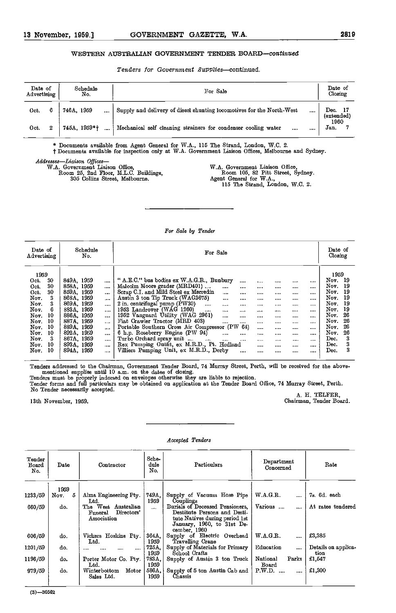#### WESTERN AUSTRALIAN GOVERNMENT TENDER BOARD-continued

Tenders for Government Supplies-continued.

| Date of<br>Advertising |   | Schedule<br>No. | For Sale                                                                    | Date of<br>Closing         |  |  |
|------------------------|---|-----------------|-----------------------------------------------------------------------------|----------------------------|--|--|
| Oct.                   | 6 | 746A, 1959<br>  | Supply and delivery of diesel shunting locomotives for the North-West<br>   | - 17<br>Dec.<br>(extended) |  |  |
| Oct.                   | 2 | 745A 1959*†     | Mechanical self cleaning strainers for condenser cooling water<br>1.111<br> | 1960<br>Jan.               |  |  |

\* Documents available from Agent General for W.A., 115 The Strand, London, W.C. 2.

t Documents available for inspection only at W.A. Government Liaison Offices, Melbourne and Sydney.

Addresses-Liaison Offices-

W.A. Government Liaison Office, Room 25, 2nd Floor, M.L.O. Buildings, 305 Collins Street, Melbourne.

W.A. Government Liaison Office, Room 105, 82 Pitt Street, Sydney. Agent General for W.A.,

115 The Strand, London, W.C. 2.

#### For Bale by Tender

| Date of<br>Advertising | Schedule<br>No. |          | For Sale                                                 |          |              |  |  |             |  |
|------------------------|-----------------|----------|----------------------------------------------------------|----------|--------------|--|--|-------------|--|
| 1959                   |                 |          |                                                          |          |              |  |  | 1959        |  |
| 30<br>Oct.             | 849A, 1959      |          | " A.E.C." bus bodies ex W.A.G.R., Bunbury<br>            |          | <b>No.20</b> |  |  | Nov.<br>-19 |  |
| 30<br>Oct.             | 858A, 1959      | $\cdots$ | Malcolm Moore grader (MRD401)<br><br>                    |          |              |  |  | Nov.<br>19  |  |
| 30<br>Oct.             | 859A, 1959      | $\cdots$ | Scrap C.I. and Mild Steel ex Merredin<br>1000<br>        |          |              |  |  | 19<br>Nov.  |  |
| Nov.                   | 368A, 1959      | $\cdots$ | Austin 3 ton Tip Truck (WAG3675)<br>1.111<br>            |          | 1.111        |  |  | 19<br>Nov.  |  |
| Nov.                   | 869A, 1959      | $\cdots$ | 2 in. centrifugal pump (PW30)<br>$\cdots$<br><br>$1 - 1$ | 1000     | 1.111        |  |  | Nov.<br>19  |  |
| Nov.                   | 883A, 1959      | $\cdots$ | 1953 Landrover (WAG 1260)<br><br>10.000<br>              | 1.1.1    | $-0.05$      |  |  | Nov.<br>19  |  |
| 10<br>Nov.             | 886A.<br>1959   | $\cdots$ | 1952 Vanguard Utility (WAG 2961)<br><br>                 |          | 1010.        |  |  | 26<br>Nov.  |  |
| 10<br>Nov.             | 887A, 1959      | $\cdots$ | Fiat Crawler Tractor (MRD 403)<br><br>$\cdots$           | $\cdots$ |              |  |  | Nov.<br>26  |  |
| 10<br>Nov.             | 889A, 1959      | $\cdots$ | Portable Southern Cross Air Compressor (PW 64)           | $\cdots$ |              |  |  | 26<br>Nov.  |  |
| 10<br>Nov.             | 892A, 1959      | $\cdots$ | 6 h.p. Roseberry Engine (PW 94)<br>$\cdots$<br>          |          |              |  |  | Nov.<br>26  |  |
| 3<br>Nov.              | 867A, 1959      | $\cdots$ | Turbo Orchard spray unit<br>$\cdots$<br>$\cdots$<br>     |          | $\cdots$     |  |  | 3<br>Dec.   |  |
| -10<br>Nov.            | 893A, 1959      | $\cdots$ | Rex Pumping Outfit, ex M.R.D., Pt. Hedland               |          |              |  |  | 3<br>Dec.   |  |
| -10<br>Nov.            | 894A, 1959      |          | Villiers Pumping Unit, ex M.R.D., Derby<br>              |          |              |  |  | 3<br>Dec.   |  |

Tenders addressed to the Chairman, Government Tender Board, 74 Murray Street, Perth, will be received for the above-<br>mentioned supplies until 10 a.m. on the dates of closing.<br>Tenders must be properly indorsed on envelopes

Tender forms and full particulars may be obtained on application at the Tender Board Office, 74 Murray Street, Perth. No Tender necessarily accepted. The contract of the contract of the contract of the contract of the contract of the contract of the contract of the contract of the contract of the contract of the contract of the contract o 13th November, 1959.<br>
13th November, 1959.<br>
Chairman, Tender Board.<br>
Chairman, Tender Board.

| Accepted Tenders |  |
|------------------|--|

| Tender<br>Board<br>No. | Date      | Sche-<br>dule<br>Contractor<br>No.                                |               | Particulars                                                                                                                                     | Department<br>Concerned    | Rate                        |  |
|------------------------|-----------|-------------------------------------------------------------------|---------------|-------------------------------------------------------------------------------------------------------------------------------------------------|----------------------------|-----------------------------|--|
|                        | 1959      |                                                                   |               |                                                                                                                                                 |                            |                             |  |
| 1233/59                | Nov.<br>5 | Alma Engineering Pty<br>Ltd.                                      | 749A.<br>1959 | Supply of Vacuum Hose Pipe<br>Couplings                                                                                                         | WAGR.<br>                  | 7s. 6d each                 |  |
| 660/59                 | do.       | West<br>Australian<br>The<br>Directors'<br>Funeral<br>Association | $\cdots$      | Burials of Deceased Pensioners.<br>Destitute Persons and Desti-<br>tute Natives during period 1st<br>January, 1960, to 31st De-<br>cember, 1960 | Various<br>$\cdots$        | At rates tendered           |  |
| 606/59                 | do.       | Hoskins Ptv.<br>Vickers<br>$_{\rm Ltd.}$                          | 364A.<br>1959 | Supply of Electric Overhead<br>Travelling Crane                                                                                                 | W A G.R.<br>$\cdots$       | £3,385                      |  |
| 1201/59                | do.       | <br><br><br>                                                      | 725A.<br>1959 | Supply of Materials for Primary<br>School Crafts                                                                                                | Education<br>$\cdots$      | Details on applica-<br>tion |  |
| 1196/59                | do.       | Porter Motor Co. Pty.<br>$_{\rm Ltd.}$                            | 783A.<br>1959 | Supply of Austin 3 ton Truck                                                                                                                    | National<br>Parks<br>Board | £1,547                      |  |
| 979/59                 | do.       | Motor<br>Winterbottom<br>Sales Ltd.                               | 586A,<br>1959 | Supply of 5 ton Austin Cab and<br>Chassis                                                                                                       | P.W.D.<br>                 | £1,300                      |  |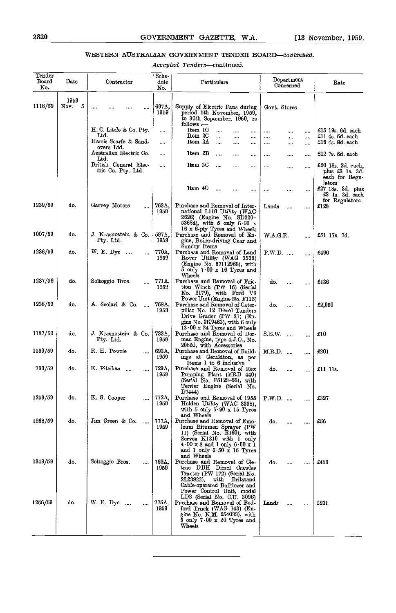#### WESTERN AUSTRALIAN GOVERNMENT TENDER BOARD-continued.

Accepted Tenders-continued.

| Tender<br>Board<br>N٥. | $_{\text{Date}}$  | Contractor                                  | Sche-<br>dule<br>No. | Particulars                                                                                                                                                                                                   | Department<br>Concerned        | Rate                                                              |
|------------------------|-------------------|---------------------------------------------|----------------------|---------------------------------------------------------------------------------------------------------------------------------------------------------------------------------------------------------------|--------------------------------|-------------------------------------------------------------------|
| 1118/59                | 1959<br>5<br>Nov. |                                             | 697A,<br>1959        | Supply of Electric Fans during<br>period 5th November, 1959.<br>to 30th September, 1960, as<br>follows :—                                                                                                     | Govt. Stores                   |                                                                   |
|                        |                   | H. C. Little & Co. Pty.<br>Ltd.             |                      | Item 1C<br><br><br><br>Item 2C<br>$\ddotsc$<br><br>                                                                                                                                                           | <br><br><br><br>$\cdots$<br>   | £15 19s. 6d. each<br>£11 4s. 6d. each                             |
|                        |                   | Harris Scarfe & Sand-<br>overs Ltd.         |                      | Item 2A<br>$\cdots$<br><br>                                                                                                                                                                                   | <br><br>                       | £16 4s. 8d. each                                                  |
|                        |                   | Australian Electric Co.<br>Ltd.             |                      | Item 2B<br><br><br>                                                                                                                                                                                           | $\cdots$<br><br>               | £12 7s. 6d. each                                                  |
|                        |                   | British General Elec-<br>tric Co. Pty. Ltd. |                      | Item 3C<br>$\cdots$<br><br>$\cdots$<br>Item 4C                                                                                                                                                                | <br><br>$\cdots$               | £20 18s. 3d. each.<br>plus £3 1s. 3d.<br>each for Regu-<br>lators |
|                        |                   |                                             |                      |                                                                                                                                                                                                               | <br><br>                       | £27 18s. 3d. plus<br>£3 ls. 3d. each<br>for Regulators            |
| 1239/59                | do.               | Garvey Motors<br>                           | 763A,<br>1959        | Purchase and Removal of Inter-<br>national L110 Utility (WAG<br>2626) (Engine No. SD220-<br>53684), with 5 only 6 50 x<br>16 x 6-ply Tyres and Wheels                                                         | Lands<br><br>                  | £128                                                              |
| 1007/59                | do.               | J. Krasnostein & Co.<br>Pty. Ltd.           | 597A.<br>1959        | Purchase and Removal of En-<br>gine, Boiler-driving Gear and<br>Sundry Items                                                                                                                                  | W.A.G.R.<br>                   | £51 17s. 7d.                                                      |
| 1236/59                | do.               | W. E. Dye<br>$\cdots$<br>                   | 770Δ,<br>1959        | Purchase and Removal of Land<br>Rover Utility (WAG 3536)<br>(Engine No. 57112968), with<br>$5$ only $7.00 \times 16$ Tyres and<br>Wheels                                                                      | P.W.D.<br>.                    | £496                                                              |
| 1237/59                | do.               | Soltoggio Bros.<br>                         | 771A,<br>1959        | Purchase and Removal of Fric-<br>tion Winch (PW 16) (Serial<br>$\mathrm{No.}$ 2179), with $\mathrm{Ford}$ $\mathrm{V8}$                                                                                       | do.<br><br>$\cdots$            | £136                                                              |
| 1238/59                | do.               | A. Scolari & Co.<br>$\cdots$                | 768A.<br>1959        | Power Unit (Engine No. F112)<br>Purchase and Removal of Cater-<br>pillar No. 12 Diesel Tandem<br>Drive Grader (PW 31) (En-<br>gine No. 9K9463), with 6 only                                                   | do.<br>                        | £2,050                                                            |
| 1187/59                | do.               | J. Krasnostein & Co.<br>Pty. Ltd.           | 733A,<br>1959        | $13.00 \times 24$ Tyres and Wheels<br>Purchase and Removal of Dor-<br>man Engine, type 4.J.O., No.<br>20820, with Accessories                                                                                 | S.E.W.<br>$\cdots$<br>         | £10                                                               |
| 1150/59                | do.               | R. H. Powrie<br>                            | 693A,<br>1959        | Purchase and Removal of Build-<br>ings at Geraldton, as per<br>Items 1 to 6 inclusive                                                                                                                         | M.R.D.<br>$\cdots$<br>$\cdots$ | £201                                                              |
| 730/59                 | do.               | K. Pitsikas<br>$\cdots$<br>                 | 729A,<br>1959        | Purchase and Removal of Rex<br>Pumping Plant (MRD 440)<br>(Serial No. P5129-56), with<br>Terrier Engine (Serial No.<br>D7444)                                                                                 | do.<br><br>                    | £1111s                                                            |
| 1253/59                | do.               | K.S. Cooper                                 | 772A.<br>1959        | Purchase and Removal of 1955   PW.D.<br>Holden Utility (WAG 3338).<br>with $5$ only $5.90 \times 15$ Tyres                                                                                                    |                                | £327                                                              |
| 1268/59                | do.               | Jim Green & Co.<br>                         | 777A,<br>1959        | and Wheels<br>Purchase and Removal of Emo-<br>leum Bitumen Sprayer (PW<br>11) (Serial No. E160), with<br>Serves K1310 with 1 only<br>$4.00 \times 8$ and 1 only $6.00 \times 1$<br>and 1 only 6 50 x 16 Tyres | do.<br><br>                    | £56                                                               |
| 1349/59                | do.               | Soltoggio Bros.<br>                         | 769A,<br>1959        | and Wheels<br>Purchase and Removal of Cle-<br>trac DDH Diesel Crawler<br>Tractor (PW 172) (Serial No.<br>2L23922).<br>with<br>Britstand<br>Cable-operated Bulldozer and                                       | do.<br><br>                    | £456                                                              |
| 1256/59                | do.               | W. E. Dye<br>$\cdots$<br>                   | 775A,<br>1959        | Power Control Unit, model<br>LD2 (Serial No. C.U. 3096)<br>Purchase and Removal of Bed-<br>ford Truck (WAG 743) (En-<br>gine No. K M. 254033), with<br>$5$ only $7.00 \times 20$ Tyres and<br>Wheels          | Lands                          | £231                                                              |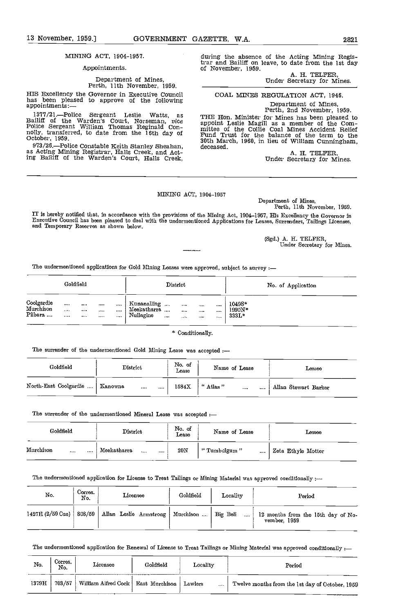#### Appointments.

# Department of Mines, Perth, 11th November, 1959.

HIS Excellency the Governor in Executive Council has been pleased to approve of the following appointments:-

1377/21.—Police Sergeant Leslie Watts, as<br>Bailiff of the Warden's Court, Norseman, vice<br>Police Sergeant William Thomas Reginald Con-<br>nolly, transferred, to date from the 16th day of<br>October, 1959.<br>973/26.—Police Constable

973/2G.Police Constable Keith Stanley Sheahan, as Acting Mining Registrar, Halls Creek, and Acting Bailiff of the Warden's Court, Halls Creek,

during the absence of the Acting Mining Registrar and Bailiff on leave, to date from the 1st day of November, 1959.

A. H. TELFER,<br>Under Secretary for Mines.

#### COAL MINES REGULATION ACT, 1946.

Department of Mines, Perth, 2nd November, 1959. THE Hon. Minister for Mines has been pleased to

appoint Leslie Magill as a member of the Com-<br>mittee of the Collie Coal Mines Accident Relief<br>Fund Trust for the balance of the term to the 30th March, 1960, in lieu of William Cunningham, deceased.

A. H. TELFER,<br>Under Secretary for Mines.

#### MINING ACT, 1904-1957

Department of Mines, Perth, 11th November, 1959.

IT is hereby notified that, ia accordance with the provisions of the Mining Act, 1904-1957, His Excellency the Gcveraor ia Executive Council has been pleased to deal with the undermentioned Applications for Leases, Surrenders, Tailings Licenses,<br>and Temporary Reserves as shown below.

> (Sgd.) A. H. TELFER, Under Secretary for Mines.

The undermentioned applications for Gold Mining Leases were approved, subject to survey :-

|                                    | Goldfield                     |                           |                       |                                 |                                         |       | District                         |                            |                    |                             | No. of Application |  |
|------------------------------------|-------------------------------|---------------------------|-----------------------|---------------------------------|-----------------------------------------|-------|----------------------------------|----------------------------|--------------------|-----------------------------|--------------------|--|
| Coolgardie<br>Murchison<br>Pilbara | 10.01<br>$\cdots$<br>$\cdots$ | $-0.14$<br>1.114<br>1.111 | 1.1.1<br>$\cdots$<br> | $1 - 1$<br>$\cdots$<br>$\cdots$ | Kunanalling<br>Meekatharra<br>Nullagine | 1.114 | $\cdots$<br>$\cdots$<br>$\cdots$ | 1.1.1<br>$\cdots$<br>1.111 | <br>1.111<br>1.125 | 1049S*<br>1990N*<br>$333L*$ |                    |  |

#### \* Conditionally.

The surrender of the undermentioned Gold Mining Lease was accepted

| Goldfield             | District                 | No. of<br>Lease | Name of Lease             | Lessee               |
|-----------------------|--------------------------|-----------------|---------------------------|----------------------|
| North-East Coolgardie | Kanowna<br><br>$\ddotsc$ | 1584X           | " Atlas "<br><br>$-0.000$ | Allan Stewart Barker |

The surrender of the undermentioned Mineral Lease was accepted :-

| Goldfield             |          | District                      | No. of<br>Lease | Name of Lease           | Lessee             |
|-----------------------|----------|-------------------------------|-----------------|-------------------------|--------------------|
| Murchison<br>$\cdots$ | $\cdots$ | Meekatharra<br>1.111<br>1.1.1 | $20\mathrm{N}$  | "Tumbulgum"<br>$\cdots$ | Zeta Ethyle Motter |

The undermentioned application for License to Treat Tailings or Mining Material was approved conditionally :--

| No.              | Corres.<br>No. | Licensee                                       | Goldfield | Locality       | Period                                             |
|------------------|----------------|------------------------------------------------|-----------|----------------|----------------------------------------------------|
| 1427H (2/59 Cue) | 808/59         | Allan Leslie Armstrong   Murchison    Big Bell |           | $\overline{a}$ | 12 months from the 15th day of No-<br>vember, 1959 |

The undermentioned application for Renewal of License to Treat Tailings or Mining Material was approved conditionally :-

| No.   | Corres.<br>No. | Licensee                             | Goldfield | Locality    | Period                                          |  |  |
|-------|----------------|--------------------------------------|-----------|-------------|-------------------------------------------------|--|--|
| 1379H | 703/57         | William Alfred Cock   East Murchison |           | Lawlers<br> | Twelve months from the 1st day of October, 1959 |  |  |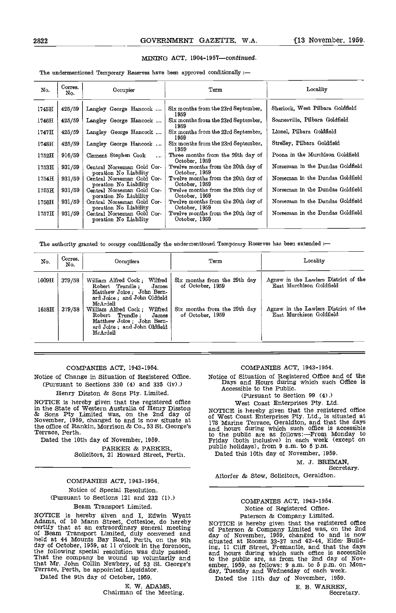#### MINING ACT, 1904-1957-continued.

The undermentioned Temporary Reserves have been approved conditionally :-

| No.              | Corres.<br>No. | Occupier                                            | Term                                                | Locality                         |
|------------------|----------------|-----------------------------------------------------|-----------------------------------------------------|----------------------------------|
| 1745H            | 425/59         | Langley George Hancock                              | Six months from the 23rd September,<br>1959         | Sherlock, West Pilbara Goldfield |
| 1746H            | 425/59         | Langley George Hancock                              | Six months from the 23rd September,<br>1959         | Soanesville, Pilbara Goldfield   |
| 1747H            | 425/59         | Langley George Hancock                              | Six months from the 23rd September,<br>1959         | Lionel, Pilbara Goldfield        |
| 1748H            | 425/59         | Langley George Hancock                              | Six months from the 23rd September,<br>1959         | Strelley, Pilbara Goldfield      |
| $1752\mathrm{H}$ | 916/59         | Clement Stephen Cook<br>$\cdots$                    | Three months from the 20th day of<br>October, 1959  | Poona in the Murchison Goldfield |
| 1753H            | 931/59         | Central Norseman Gold Cor-<br>poration No Liability | Twelve months from the 20th day of<br>October, 1959 | Norseman in the Dundas Goldfield |
| 1754H            | 931/59         | Central Norseman Gold Cor-<br>poration No Liability | Twelve months from the 20th day of<br>October, 1959 | Norseman in the Dundas Goldfield |
| 1755日            | 931/59         | Central Norseman Gold Cor-<br>poration No Liability | Twelve months from the 20th day of<br>October, 1959 | Norseman in the Dundas Goldfield |
| 1756H            | 931/59         | Central Norseman Gold Cor-<br>poration No Liability | Twelve months from the 20th day of<br>October, 1959 | Norseman in the Dundas Goldfield |
| 1757H            | 931/59         | Central Norseman Gold Cor-<br>poration No Liability | Twelve months from the 20th day of<br>October, 1959 | Norseman in the Dundas Goldfield |

The authority granted to occupy conditionally the undermentioned Temporary Reserves has been extended :-

| No.              | Corres.<br>No. | Occupiers                                                                                                                          | Term                                             | Locality                                                         |
|------------------|----------------|------------------------------------------------------------------------------------------------------------------------------------|--------------------------------------------------|------------------------------------------------------------------|
| 1609H            | 379/58         | William Alfred Cock; Wilfred<br>James<br>Robert Trundle;<br>Matthew Joice; John Bern-<br>ard Joice; and John Oldfield<br>McArdell  | Six months from the 29th day<br>of October, 1959 | Agnew m the Lawlers District of the<br>East Murchison Goldfield  |
| $1658\mathrm{H}$ | 379/58         | William Alfred Cock; Wilfred<br>Robert Trundle:<br>James<br>Matthew Joice; John Bern-<br>ard Joice ; and John Oldfield<br>McArdell | Six months from the 29th day<br>of October, 1959 | Agnew in the Lawlers District of the<br>East Murchison Goldfield |

#### COMPANES ACT, 1943-1954.

Notice of Change in Situation of Registered Office. (Pursuant to Sections 330 (4) and 335 (iv).)

Henry Disston & Sons Pty. Limited.

NOTICE is hereby given that the registered office in the State of Western Australia of Henry Disston in the State of Western Australia of Henry Disston MOTICE is hereby given that the registered office & Sons Pty Limited was, on the 2nd day of  $\sigma$  West Coast Enterprises Pty. Ltd., is situated at November, 1959, changed t the office of Rankin, Morrison & Co., 53 St. George's Terrace, Perth.

Dated the 10th day of November, 1959.

PARKER & PARKER, Solicitors, 21 Howard Street, Perth.

## Notice of Special Resolution. (Pursuant to Sections 121 and 232 (1).) Beam Transport Limited.

NOTICE is hereby given and I, Edwin Wyatt<br>Adams, of 10 Mann Street, Cottesloe, do hereby<br>Adams, of 10 Mann Street, Cottesloe, do hereby<br>NOTICE is hereby given that the registered office certify that at an extraordinary general meeting of  $P_{\text{at}}$ of Beam Transport Limited, duly convened and duly held at 44 Mounts Bay Road, Perth, on the 9th situate held at 44 Mounts Bay Road, Perth, on the 9th day of October, 1959, at 11 o'clock in the forenoon, the following special resolution was duly passed: that Mr. John Collin Newbery, of 53 St. George's Terrace, Perth, be appointed Liquidator.

Dated the 9th day of October, 1959,

E. W. ADAMS,<br>Chairman of the Meeting.

#### COMPANIES ACT, 1943-1954.

Notice of Situation of Registered Office and of the Days and Hours during which such Office Is Accessible to the Public.

(Pursuant to Section 99 (4).)

West Coast Enterprises Pty. Ltd.

of West Coast Enterprises Pty. Ltd., is situated at 178 Marine Terrace, Geraldton, and that the days<br>and hours during which such office is accessible<br>to the public are as follows:—From Monday to<br>Friday (both inclusive) in public holidays), from 9 a.m. to 5 p.m.

Dated this 10th day of November, 1959.

M. 3. BREMAN, Secretary.

Altorfer & Stow, Solicitors, Geraldton.

#### COMPANIES ACT, 1943-1954. Notice of Registered Office. Paterson & Company Limited.

NOTICE is hereby given that the registered office<br>of Paterson & Company Limited was, on the 2nd<br>day of November, 1959, changed to and is now situated at Rooms 33-37 and 42-44, Elder Build-ing, 11 Cliff Street, Fremantle, and that the days and hours during which such office is accessible to the public are, as from the 2nd day of Nov- ember, 1959, as follows: 9 am. to 5 p.m. on Mon- day, Tuesday and Wednesday of each week.

Dated the 11th day of November, 1959.

E. B. WARREN, Secretary.

COMPANIES ACT, 1943-1954.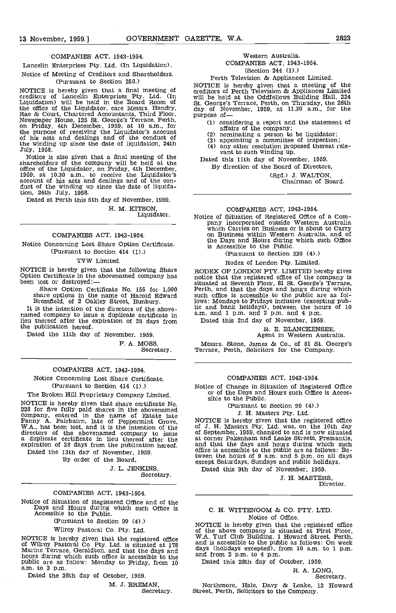#### COMPANIES ACT, 1943-1954.

Lancelin Enterprises Pty. Ltd. (In Liquidation).

Notice of Meeting of Creditors and Shareholders. (Pursuant to section 250.)

NOTICE is hereby given that a final meeting of credit<br>creditors of Lancelin Enterprises Pty. Ltd. (In a will be held in the Board Room of St. Gr the office of the Liquidator, care Messrs. Hendry, Rae & Court, Chartered Accountants, Third Floor, Newspaper House, 125 St. George's Terrace, Perth, Funday, 4th December, 1959, at 10 a.m., for the purpose of receiving the Liquidator's account of his acts and dealings and of the conduct of the winding up since the date of liquidation, 24th July, 1958.

Notice is also given that a final meeting of the<br>shareholders of the company will be held at the<br>office of the Liquidator, on Friday, 4th December,<br>1959, at 10.30 a.m., to receive the Liquidator's<br>account of his acts and d tion, 24th July, 1958.

Dated at Perth this 5th day of November, 1959.

H. M. KITSON, Liquidator.

#### COMPANIES ACT, 1943-1954.

Notice Concerning Lost Share Option Certificate. (Pursuant to Section 414 (1).)

TVW Limited.

NOTICE is hereby given that the following Share RODEX OF LONDON PTY. LIMITED hereby gives<br>Option Certificate in the abovenamed company has been lost or destroyed:—<br>situated at Seventh Floor 81 St. George's Terrace

Share Option Certificate No. 155 for 1,000 share options in the name of Harold Edward Bromfield, of 2 Oakley Street, Bunbury.

It is the intention of the directors of the abovenamed company to issue a duplicate certificate in lieu thereof after the expiration of 28 days from the publication hereof.

Dated the 11th day of November, 1959.

F. A. MOSS,

Secretary.

#### COMPANIES ACT, 1943-1954.

Notice Concerning Lost Share Certificate. (Pursuant to Section 414 (1).)

The Broken Hill Proprietary Company Limited.

The Bloken Hin Prophetary Company Emilied.<br>
NOTICE is hereby given that shares in the abovemented<br>
company, entered in the name of Estate late<br>
Fanny A. Fairbairn, late of Peppermint Grove,<br>
W.A., has been lost, and it is directors of the abovenamed company to issue<br>a duplicate certificate in lieu thereof after the<br>expiration of 28 days from the publication hereof. Dated the 13th day of November, 1959.

By order of the Board,

J. L. JENKINS, Secretary.

#### COMPANIES ACT, 1943-1954.

Notice of Situation of Registered Office and of the Days and Hours during which such Office is Accessible to the Public.

(Pursuant to Section 99 (4).)

#### Wilroy Pastoral Co. Pty. Ltd.

NOTICE is hereby given that the registered office W.A. To Wilroy Pastoral Co. Pty. Ltd. is situated at 178 and is Marine Terrace, Geraldton, and that the days and days  $\epsilon$ hours during which such office is accessible to the and frequencies are as follow: Monday to Friday, from 10 Date a.m. to 3 p.m.

Dated the 28th day of October, 1959.

M. J. BREMAN,

Secretary.

## Western Australia.

COMPANIES ACT, 1943-1954. (Section 244 (1).)

Perth Television & Appliances Limited. NOTICE is hereby given that a meeting of the creditors of Perth Television & Appliances Limited will be held at the Oddfellows Building Hall, 224 St. George's Terrace, Perth, on Thursday, the 26th day of November, 1959, at 11.30 a.m., for the purpose of—

(1) considering a report and the statement of affairs of the company;<br>
(2) nominating a person to be liquidator;<br>
(3) appointing a committee of inspection;<br>
(4) any other resolution proposed thereat rele-<br>vant to such win

- 
- 
- 

Dated this 11th day of November, 1959. By direction of the Board of Directors,

(Sgd.) J. WALTON, Chairman of Board.

COMPANIES ACT, 1943-1954.<br>Notice of Situation of Registered Office of a Company incorporated outside Western Australia<br>which Carries on Business or is about to Carry<br>on Business within Western Australia, and of the Days and Hours during which such Office is Accessible to the Public.

(Pursuant to Section 330 (4).)

Rodex of London Pty. Limited.

RODEX OF LONDON PTY. LIMITED hereby gives notice that the registered office of the company is situated at Seventh Floor, 81 St. George's Terrace, Perth, and that the days and hours during which such office is accessible to the public are as follows: Mondays to Fridays inclusive (excepting pub- lic and bank holidays), between the hours of 10 a.m. and 1 p.m. and 2 p.m. and 4 p.m.

Dated this 2nd day of November, 1959.

#### R. E. BLANCKENSEE Agent in Western Australia.

Messrs. Stone, James & Co., of 81 St. George's Terrace, Perth, Solicitors for the Company.

#### COMPANIES ACT, 1943-1954.

Notice of Change in Situation of Registered Office or of the Days and Hours such Office is Acces-

(Pursuant to section 99 (4).)

#### J. H. Masters Pty. Ltd.

NOTICE is hereby given that the registered office of J. H. Masters Pty. Ltd. was, on the 10th day of September, 1959, changed to and is now situated at corner Pakenham and Leake Streets, Fremantle, and that the days and hours during which such office is accessible to the public are as follows: Between the hours of 9 a.m. and 5 p.m. on all days except Saturdays, Sundays and public holidays. Dated this 9th day of November, 1959.

J. H. MASTERS, Director.

# C. H. WITTENOOM & CO. PTY. LTD.

Notice of Office.<br>NOTICE is hereby given that the registered office of the above company is situated at First Floor,<br>W.A. Turf Club Building, 1 Howard Street, Perth,<br>and is accessible to the public as follows: On week<br>days (holidays excepted), from 10 a.m. to 1 p.m.<br>and from 2 p.m. to 4 p.

R. A. LONG, Secretary.

Northmore, Hale, Davy & Leake, 13 Howard Street, Perth, Solicitors to the Company.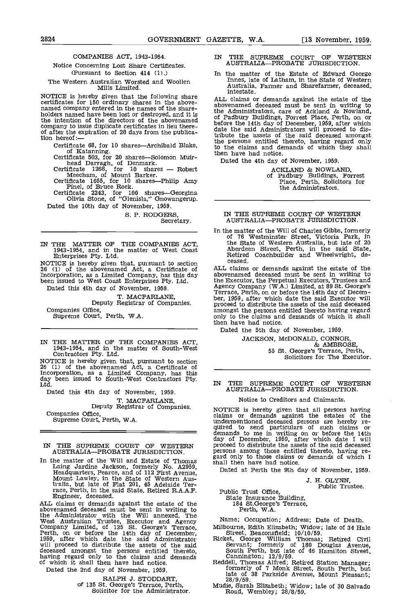#### COMPANIES ACT, 1943-1954.

## Notice Concerning Lost Share Certificates. (Pursuant to Section 414 (1).)

#### The Western Australian Worsted and Woollen Mills Limited.

MOTICE is hereby given that the following share<br>certificates for 150 ordinary shares in the above-<br>named company entered in the names of the share-<br>holders named have been lost or destroyed, and it is<br> $\frac{1}{12}$  is<br> $\frac{1}{1$ the intention of the directors of the abovenamed  $h$ company to issue duplicate certificates in lieu there-<br>of after the expiration of 28 days from the publica-<br>tion hereof:—<br>tion

Certificate 68, for 10 shares—Archibald Blake, the of Katanning.<br>Certificate 503, for 20 shares—Solomon Muir-<br>head Darragh, of Denmark.<br>Certificate 1268, for 10 shares — Robert

Meecham, of Mount Barker.<br>Certificate 1655, for 10 shares—Philip Amy

Pinel, of Bruce Rock.<br>Certificate 2243, for 100 shares-Georgina<br>Olivia Stone, of "Glenisla," Gnowangerup. Dated the 10th day of November, 1959.

S. P. RODGERS, Secretary.

IN THE MATTER OF THE COMPANIES ACT, 1943-1954, and in the matter of West Coast Enterprises Pty. Ltd.

NOTICE is hereby given that, pursuant to section  $26$  (1) of the abovenamed Act, a Certificate of  $4LL$  c Incorporation, as a Limited Company, has this day been issued to West Coast Enterprises Pty. Ltd.

Dated this 4th day of November, 1959.

T. MACFARLANE,<br>Deputy Registrar of Companies.<br>Companies Office,

Supreme Court, Perth, W.A.

IN THE MATTER OF THE COMPANIES ACT, 1943-1954, and in the matter of South-West Contractors Pty. Ltd.

NOTICE is hereby given that, pursuant to section<br>
26 (1) of the abovenamed Act, a Certificate of<br>
Incorporation, as a Limited Company, has this<br>
day been issued to South-West Contractors Pty.<br>
Ltd.

Dated this 4th day of November, 1959. T. MACFARLANE, Deputy Registrar of Companies. Companies Office, Supreme Court, Perth, W.A.

IN THE SUPREME COURT OF WESTERN AUSTRALIA-PROBATE JURISDICTION.

In the matter of the Will and Estate of Thomas shall Laing Jardine Jackson, formerly No, A2959, Headquarters, Pearce, and of 112 First Avenue, Mount Lawley, in the State of Western Aus-tralia but late of Flat 201, 45 Adelaide Terrace, Perth, in the said State, Retired R.A.A,F. Engineer, deceased.

ALL claims or demands against the estate of the<br>abovenamed deceased must be sent in writing to<br>the Administrator with the Will annexed, The<br>West Australian Trustee, Executor and Agency<br>Compay Limited, of 135 St. George's T will proceed to distribute the assets of the said deceased amongst the persons entitled thereto, having regard only to the claims and demands Ca consider the claims and demands of which it shall then have had notice. Redde

Dated the 2nd day of November, 1959.

RALPH J. STODDART, of 135 St. George's Terrace, Perth, Solicitor for the Administrator.

- IN THE SUPREME COURT OF WESTERN AUSTRALIA-PROBATE JURISDICTION.
- In the matter of the Estate of Edward George Innes, late of Latham, in the State of Western Australia, Farmer and Sharefarmer, deceased, intestate.

ALL claims or demands against the estate of the abovenamed deceased must be sent in writing to<br>the Administrators, care of Ackland & Nowland,<br>of Padbury Buildings, Forrest Place, Perth, on or<br>before the 14th day of December, 1959, after which<br>date the said Administrator tribute the assets of the said deceased amongst the persons entitled thereto, having regard only to the claims and demands of which they shall then have had notice.

Dated the 4th day of November, 1959.

ACKLAND & NOWLAND, of Padbury Buildings, Forrest Place, Perth, Solicitors for the Administrators.

#### IN THE SUPREME COURT OF WESTERN AUSTRALIA-PROBATE JURISDICTION.

In the matter of the Will of Charles Gibbs, formerly of 76 Westminster Street, Victoria Park, in the State of Western Australia, but late of 20 Aberdeen Street, Perth, in the said State, Retired Coachbuilder and Wheelwright, de- ceased.

ALL claims or demands against the estate of the abovenamed deceased must be sent in writing to Agency Company (W.A.) Limited, at 89 St. George's<br>Terrace, Perth, on or before the 14th day of Decem-<br>ber, 1959, after which date the said Executor will<br>proceed to distribute the assets of the said deceased amongst the persons entitled thereto having regard only to the claims and demands of which it shall then have had notice.

Dated the 5th day of November, 1959.

JACKSON, McDONALD, CONNOR,

& AMBROSE,<br>55 St. George's Terrace, Perth,<br>Solicitors for The Executor.

# IN THE SUPREME COURT OF WESTERN<br>AUSTRALIA—PROBATE JURISDICTION.

#### Notice to Creditors and Claimants.

NOTICE is hereby given that all persons having<br>claims or demands against the estates of the<br>undermentioned deceased persons are hereby re-<br>quired to send particulars of such claims or<br>demands to me in writing on or before

Dated at Perth the 9th day of November, 1959,

J, H. GLYNN, Public Trustee.

Public Trust Office, State Insurance Building, 184 St.George's Terrace, Perth, WA.

Name; Occupation; Address; Date of Death.

- Milbourne, Edith Elizabeth; Widow; late of 34 Hale Street, Beaconsfield; 10/10/59. Ricket, George William Thomas; Retired Civil
- Servant; formerly of <sup>180</sup> Douglas Avenue, South Perth, but late of 46 Hamilton Street, Cannington; 12/9/59. Reddell, Thomas Alfred; Retired Station Manager; formerly of 7 Monk Street, South Perth, but
- Reddell, Thomas Alfred; Retired Station Manager;<br>formerly of 7 Monk Street, South Perth, but<br>late of 38 Parkside Avenue, Mount Pleasant;<br> $\frac{28/9/59}{...}$
- Mudie, Sarah Elizabeth; Widow; late of 30 Salvado Road, Wembley; 28/8/59,